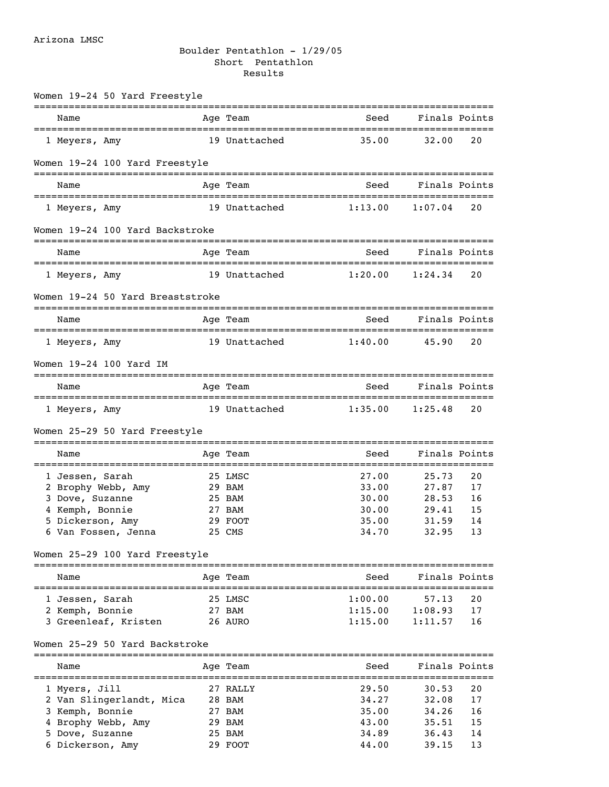## Boulder Pentathlon - 1/29/05 Short Pentathlon Results

| Women 19-24 50 Yard Freestyle              |               |                         |                           |    |
|--------------------------------------------|---------------|-------------------------|---------------------------|----|
| Name                                       | Age Team      | Seed                    | Finals Points             |    |
| 1 Meyers, Amy                              | 19 Unattached | 35.00                   | 32.00                     | 20 |
| Women 19-24 100 Yard Freestyle             |               |                         |                           |    |
| Name                                       | Age Team      | Seed                    | Finals Points             |    |
| 1 Meyers, Amy                              | 19 Unattached | 1:13.00                 | 1:07.04                   | 20 |
| Women 19-24 100 Yard Backstroke            |               |                         |                           |    |
| Name                                       | Age Team      | Seed                    | Finals Points             |    |
| 1 Meyers, Amy                              | 19 Unattached | 1:20.00                 | 1:24.34                   | 20 |
| Women 19-24 50 Yard Breaststroke           | ============  |                         | -----------------         |    |
| Name                                       | Age Team      | Seed                    | Finals Points             |    |
| 1 Meyers, Amy                              | 19 Unattached | 1:40.00                 | 45.90                     | 20 |
| Women 19-24 100 Yard IM                    |               |                         |                           |    |
| Name                                       | Age Team      | Seed                    | Finals Points             |    |
| 1 Meyers, Amy                              | 19 Unattached | 1:35.00                 | 1:25.48                   | 20 |
| Women 25-29 50 Yard Freestyle              |               |                         |                           |    |
| Name<br>================================== | Age Team      | Seed<br>--------------- | Finals Points<br>======== |    |
| 1 Jessen, Sarah                            | 25 LMSC       | 27.00                   | 25.73                     | 20 |
| 2 Brophy Webb, Amy                         | 29 BAM        | 33.00                   | 27.87                     | 17 |
| 3 Dove, Suzanne                            | 25 BAM        | 30.00                   | 28.53                     | 16 |
| 4 Kemph, Bonnie                            | 27 BAM        | 30.00                   | 29.41                     | 15 |
| 5 Dickerson, Amy                           | 29 FOOT       | 35.00                   | 31.59                     | 14 |
| 6 Van Fossen, Jenna                        | 25 CMS        | 34.70                   | 32.95                     | 13 |
| Women 25-29 100 Yard Freestyle             | ---------     |                         |                           |    |
| Name                                       | Aqe Team      | Seed                    | Finals Points             |    |
| 1 Jessen, Sarah                            | 25 LMSC       | 1:00.00                 | 57.13                     | 20 |
| 2 Kemph, Bonnie                            | 27 BAM        | 1:15.00                 | 1:08.93                   | 17 |
| 3 Greenleaf, Kristen                       | 26 AURO       | 1:15.00                 | 1:11.57                   | 16 |
| Women 25-29 50 Yard Backstroke             |               |                         |                           |    |
| Name                                       | Aqe Team      | Seed                    | Finals Points             |    |
| 1 Myers, Jill                              | 27 RALLY      | 29.50                   | 30.53                     | 20 |
| 2 Van Slingerlandt, Mica                   | 28 BAM        | 34.27                   | 32.08                     | 17 |
| 3 Kemph, Bonnie                            | 27 BAM        | 35.00                   | 34.26                     | 16 |
| 4 Brophy Webb, Amy                         | 29 BAM        | 43.00                   | 35.51                     | 15 |
| 5 Dove, Suzanne                            | 25 BAM        | 34.89                   | 36.43                     | 14 |

6 Dickerson, Amy 29 FOOT 44.00 39.15 13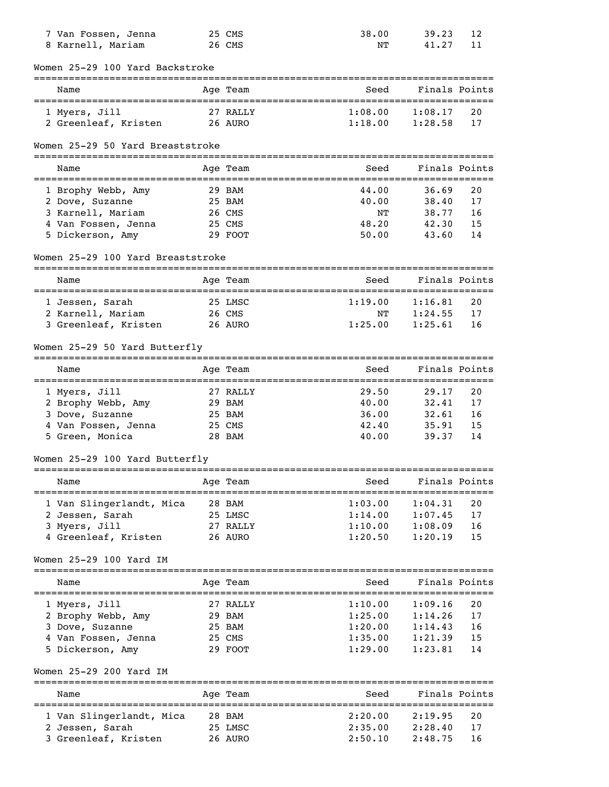| 7 Van Fossen, Jenna                     | 25 CMS             | 38.00                                  | 39.23              | 12            |
|-----------------------------------------|--------------------|----------------------------------------|--------------------|---------------|
| 8 Karnell, Mariam                       | 26 CMS             | NΤ                                     | 41.27              | 11            |
| Women 25-29 100 Yard Backstroke         |                    |                                        |                    |               |
| Name                                    | Age Team           | Seed                                   | Finals Points      |               |
| 1 Myers, Jill                           | 27 RALLY           | 1:08.00                                | 1:08.17            | 20            |
| 2 Greenleaf, Kristen 26 AURO            |                    | 1:18.00                                | 1:28.58            | 17            |
|                                         |                    |                                        |                    |               |
| Women 25-29 50 Yard Breaststroke        |                    |                                        |                    |               |
| Name                                    | Age Team           | Seed                                   | Finals Points      |               |
| 1 Brophy Webb, Amy                      | 29 BAM             | 44.00                                  | 36.69              | 20            |
| 2 Dove, Suzanne                         | 25 BAM             | 40.00                                  | 38.40              | 17            |
| 3 Karnell, Mariam                       | 26 CMS             | NΤ                                     | 38.77              | 16            |
| 4 Van Fossen, Jenna                     | 25 CMS             | 48.20                                  | 42.30              | 15            |
| 5 Dickerson, Amy                        | 29 FOOT            | 50.00                                  | 43.60              | 14            |
|                                         |                    |                                        |                    |               |
| Women 25-29 100 Yard Breaststroke       |                    |                                        |                    |               |
| Name                                    | Age Team           | Seed                                   | Finals Points      |               |
| 1 Jessen, Sarah                         | 25 LMSC            | 1:19.00                                | 1:16.81            | 20            |
| 2 Karnell, Mariam                       | 26 CMS             | ΝT                                     | 1:24.55            | 17            |
| 3 Greenleaf, Kristen 26 AURO            |                    | 1:25.00                                | 1:25.61            | 16            |
| Women 25-29 50 Yard Butterfly           |                    |                                        |                    |               |
| Name                                    | Age Team           | Seed                                   | Finals Points      |               |
| 1 Myers, Jill                           | 27 RALLY           | 29.50                                  | 29.17              | 20            |
| 2 Brophy Webb, Amy                      | 29 BAM             | 40.00                                  | 32.41              | 17            |
| 3 Dove, Suzanne                         | 25 BAM             | 36.00                                  | 32.61              | 16            |
| 4 Van Fossen, Jenna                     | 25 CMS             | 42.40                                  | 35.91              | 15            |
| 5 Green, Monica                         | 28 BAM             | 40.00                                  | 39.37              | 14            |
| Women 25-29 100 Yard Butterfly          |                    |                                        |                    |               |
|                                         |                    |                                        |                    |               |
| Name                                    |                    |                                        |                    |               |
|                                         | Age Team           | Seed                                   | Finals Points      |               |
| 1 Van Slingerlandt, Mica                | 28 BAM             | 1:03.00                                | 1:04.31            | 20            |
| 2 Jessen, Sarah                         | 25 LMSC            | 1:14.00                                | 1:07.45            | 17            |
| 3 Myers, Jill                           | 27 RALLY           |                                        | 1:08.09            | 16            |
| 4 Greenleaf, Kristen                    | 26 AURO            | 1:10.00<br>1:20.50                     | 1:20.19            | 15            |
| Women 25-29 100 Yard IM                 |                    |                                        |                    |               |
| Name                                    | Age Team           | Seed                                   |                    | Finals Points |
|                                         |                    |                                        |                    |               |
| 1 Myers, Jill                           | 27 RALLY           | 1:10.00                                | 1:09.16            | 20            |
| 2 Brophy Webb, Amy                      | 29 BAM             | 1:25.00                                | 1:14.26            | 17            |
| 3 Dove, Suzanne                         | 25 BAM             | 1:20.00                                | 1:14.43            | 16            |
| 4 Van Fossen, Jenna                     | 25 CMS             | 1:35.00                                | 1:21.39            | 15            |
| 5 Dickerson, Amy                        | 29 FOOT            | 1:29.00                                | 1:23.81            | 14            |
| Women 25-29 200 Yard IM                 |                    | ====================================== |                    |               |
| Name                                    | Age Team           | Seed                                   | Finals Points      |               |
|                                         |                    |                                        |                    | ========      |
| 1 Van Slingerlandt, Mica                | 28 BAM             | 2:20.00                                | 2:19.95            | 20            |
| 2 Jessen, Sarah<br>3 Greenleaf, Kristen | 25 LMSC<br>26 AURO | 2:35.00<br>2:50.10                     | 2:28.40<br>2:48.75 | 17<br>16      |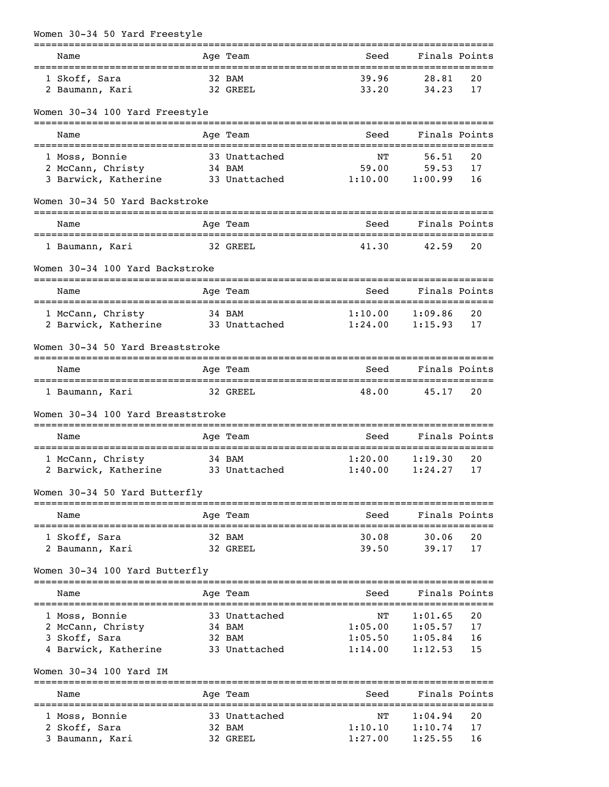| Women 30-34 50 Yard Freestyle      |          |               |                                  |               |    |
|------------------------------------|----------|---------------|----------------------------------|---------------|----|
| Name                               |          | Age Team      | :=======================<br>Seed | Finals Points |    |
| 1 Skoff, Sara                      |          | 32 BAM        | 39.96                            | 28.81         | 20 |
| 2 Baumann, Kari                    |          | 32 GREEL      | 33.20                            | 34.23         | 17 |
| Women 30-34 100 Yard Freestyle     |          |               |                                  |               |    |
| Name                               |          | Age Team      | Seed                             | Finals Points |    |
| 1 Moss, Bonnie                     |          | 33 Unattached | ΝT                               | 56.51         | 20 |
| 2 McCann, Christy                  |          | 34 BAM        | 59.00                            | 59.53         | 17 |
| 3 Barwick, Katherine               |          | 33 Unattached | 1:10.00                          | 1:00.99       | 16 |
| Women 30-34 50 Yard Backstroke     |          |               |                                  |               |    |
| Name                               |          | Age Team      | Seed                             | Finals Points |    |
| 1 Baumann, Kari                    |          | 32 GREEL      | 41.30                            | 42.59         | 20 |
| Women 30-34 100 Yard Backstroke    |          |               |                                  |               |    |
| Name                               | ======== | Age Team      | Seed                             | Finals Points |    |
| 1 McCann, Christy                  |          | 34 BAM        | 1:10.00                          | 1:09.86       | 20 |
| 2 Barwick, Katherine               |          | 33 Unattached | 1:24.00                          | 1:15.93       | 17 |
| Women 30-34 50 Yard Breaststroke   |          |               |                                  |               |    |
| Name                               |          | Age Team      | Seed                             | Finals Points |    |
| 1 Baumann, Kari                    |          | 32 GREEL      | 48.00                            | 45.17         | 20 |
| Women 30-34 100 Yard Breaststroke  |          |               |                                  |               |    |
| Name                               |          | Age Team      | Seed                             | Finals Points |    |
| 1 McCann, Christy                  |          | 34 BAM        | 1:20.00                          | 1:19.30       | 20 |
| 2 Barwick, Katherine 33 Unattached |          |               | $1:40.00$ $1:24.27$ 17           |               |    |
| Women 30-34 50 Yard Butterfly      |          |               |                                  |               |    |
| Name                               |          | Age Team      | Seed                             | Finals Points |    |
| 1 Skoff, Sara                      |          | 32 BAM        | 30.08                            | 30.06         | 20 |
| 2 Baumann, Kari                    |          | 32 GREEL      | 39.50                            | 39.17         | 17 |
| Women 30-34 100 Yard Butterfly     |          |               |                                  |               |    |
| Name                               |          | Age Team      | Seed                             | Finals Points |    |
| 1 Moss, Bonnie                     |          | 33 Unattached | NΤ                               | 1:01.65       | 20 |
| 2 McCann, Christy                  |          | 34 BAM        | 1:05.00                          | 1:05.57       | 17 |
| 3 Skoff, Sara                      |          | 32 BAM        | 1:05.50                          | 1:05.84       | 16 |
| 4 Barwick, Katherine               |          | 33 Unattached | 1:14.00                          | 1:12.53       | 15 |
| Women 30-34 100 Yard IM            |          |               |                                  |               |    |
| Name                               |          | Age Team      | Seed                             | Finals Points |    |
| 1 Moss, Bonnie                     |          | 33 Unattached | NΤ                               | 1:04.94       | 20 |
| 2 Skoff, Sara                      |          | 32 BAM        | 1:10.10                          | 1:10.74       | 17 |
| 3 Baumann, Kari                    |          | 32 GREEL      | 1:27.00                          | 1:25.55       | 16 |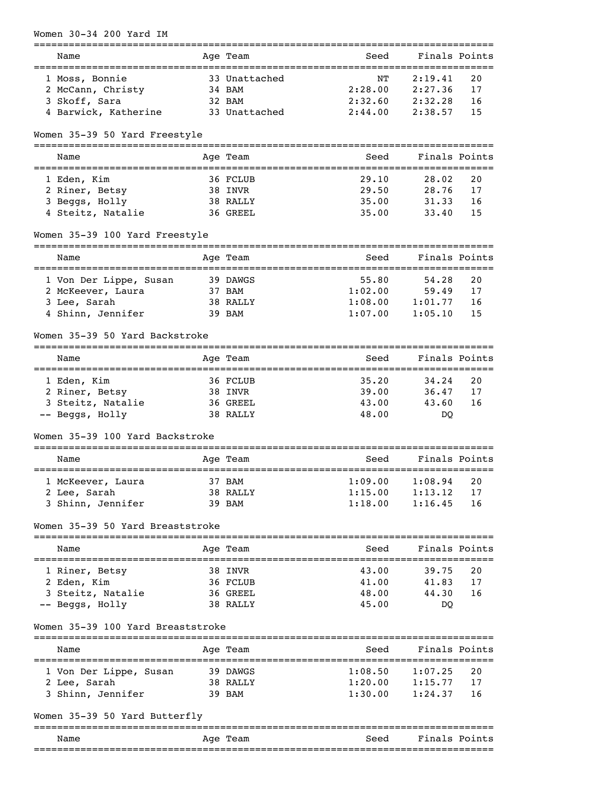| Women 30-34 200 Yard IM                                                      |                         |                     |                       |          |
|------------------------------------------------------------------------------|-------------------------|---------------------|-----------------------|----------|
| :=========================<br>Name<br>====================================== | Age Team                | Seed                | Finals Points         |          |
| 1 Moss, Bonnie                                                               | 33 Unattached           | NΤ                  | 2:19.41               | 20       |
| 2 McCann, Christy                                                            | 34 BAM                  | 2:28.00             | 2:27.36               | 17       |
| 3 Skoff, Sara                                                                | 32 BAM                  | 2:32.60             | 2:32.28               | 16       |
| 4 Barwick, Katherine                                                         | 33 Unattached           | 2:44.00             | 2:38.57               | 15       |
| Women 35-39 50 Yard Freestyle                                                |                         |                     |                       |          |
| Name                                                                         | Age Team                | Seed                | Finals Points         |          |
| 1 Eden, Kim                                                                  | 36 FCLUB                | 29.10               | 28.02                 | 20       |
| 2 Riner, Betsy                                                               | 38 INVR                 | 29.50               | 28.76                 | 17       |
| 3 Beggs, Holly                                                               | 38 RALLY                | 35.00               | 31.33                 | 16       |
| 4 Steitz, Natalie                                                            | 36 GREEL                | 35.00               | 33.40                 | 15       |
| Women 35-39 100 Yard Freestyle                                               |                         |                     |                       |          |
| Name                                                                         | Age Team                | Seed                | Finals Points         |          |
| :====================================<br>1 Von Der Lippe, Susan              | 39 DAWGS                | ==========<br>55.80 | =========<br>54.28    | 20       |
| 2 McKeever, Laura                                                            | 37 BAM                  | 1:02.00             | 59.49                 | 17       |
| 3 Lee, Sarah                                                                 | 38 RALLY                | 1:08.00             | 1:01.77               | 16       |
| 4 Shinn, Jennifer                                                            | 39 BAM                  | 1:07.00             | 1:05.10               | 15       |
| Women 35-39 50 Yard Backstroke                                               |                         |                     |                       |          |
| Name                                                                         | Age Team                | Seed                | Finals Points         |          |
|                                                                              |                         |                     |                       |          |
| 1 Eden, Kim                                                                  | 36 FCLUB                | 35.20<br>39.00      | 34.24<br>36.47        | 20<br>17 |
| 2 Riner, Betsy<br>3 Steitz, Natalie                                          | 38 INVR<br>36 GREEL     | 43.00               | 43.60                 | 16       |
| -- Beggs, Holly                                                              | 38 RALLY                | 48.00               | DQ                    |          |
| Women 35-39 100 Yard Backstroke                                              |                         |                     |                       |          |
| Name                                                                         | Age Team                | Seed                | Finals Points         |          |
|                                                                              |                         | 1:09.00             | 1:08.94               | 20       |
| 1 McKeever, Laura                                                            | 37 BAM                  |                     |                       |          |
| 2 Lee, Sarah                                                                 | 38 RALLY                | 1:15.00             | 1:13.12               | 17<br>16 |
| 3 Shinn, Jennifer                                                            | 39 BAM                  | 1:18.00             | 1:16.45               |          |
| Women 35-39 50 Yard Breaststroke                                             |                         |                     |                       |          |
| Name                                                                         | Age Team                | Seed                | Finals Points         |          |
| 1 Riner, Betsy                                                               | 38 INVR                 | 43.00               | 39.75                 | 20       |
| 2 Eden, Kim                                                                  | 36 FCLUB                | 41.00               | 41.83                 | 17       |
| 3 Steitz, Natalie                                                            | 36 GREEL                | 48.00               | 44.30                 | 16       |
| -- Beggs, Holly                                                              | 38 RALLY                | 45.00               | DQ                    |          |
| Women 35-39 100 Yard Breaststroke                                            |                         |                     |                       |          |
| Name                                                                         | Age Team                | Seed                | Finals Points         |          |
| 1 Von Der Lippe, Susan                                                       | 39 DAWGS                | 1:08.50             | 1:07.25               | 20       |
| 2 Lee, Sarah                                                                 | 38 RALLY                | 1:20.00             | 1:15.77               | 17       |
| 3 Shinn, Jennifer                                                            | 39 BAM                  | 1:30.00             | 1:24.37               | 16       |
| Women 35-39 50 Yard Butterfly                                                |                         |                     |                       |          |
| Name                                                                         | ===========<br>Age Team | Seed                | Finals Points         |          |
|                                                                              |                         |                     | ===================== |          |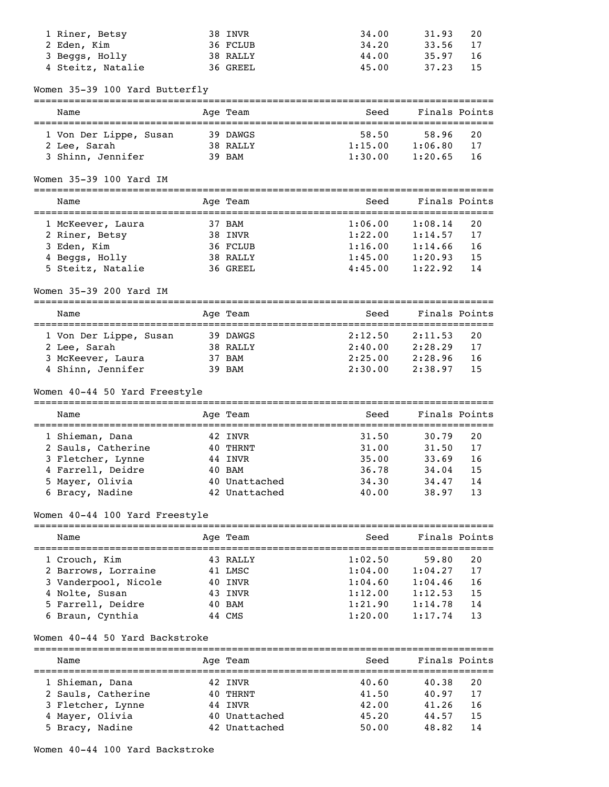| 1 Riner, Betsy                         | 38 INVR                        | 34.00                                         | 31.93          | 20       |
|----------------------------------------|--------------------------------|-----------------------------------------------|----------------|----------|
| 2 Eden, Kim<br>3 Beggs, Holly          | 36 FCLUB                       | 34.20<br>44.00                                | 33.56          | 17<br>16 |
| 4 Steitz, Natalie                      | 38 RALLY<br>36 GREEL           | 45.00                                         | 35.97<br>37.23 | 15       |
|                                        |                                |                                               |                |          |
| Women 35-39 100 Yard Butterfly         |                                |                                               |                |          |
| Name                                   | Age Team                       | Seed                                          | Finals Points  |          |
| 1 Von Der Lippe, Susan                 | 39 DAWGS                       | 58.50                                         | 58.96          | 20       |
| 2 Lee, Sarah                           | 38 RALLY                       | 1:15.00                                       | 1:06.80        | 17       |
| 3 Shinn, Jennifer                      | 39 BAM                         | 1:30.00                                       | 1:20.65        | 16       |
| Women 35-39 100 Yard IM                |                                |                                               |                |          |
| Name                                   | Age Team                       | Seed                                          | Finals Points  |          |
| 1 McKeever, Laura                      | 37 BAM                         | 1:06.00                                       | 1:08.14        | 20       |
| 2 Riner, Betsy                         | 38 INVR                        | 1:22.00                                       | 1:14.57        | 17       |
| 3 Eden, Kim                            | 36 FCLUB                       | 1:16.00                                       | 1:14.66        | 16       |
| 4 Beggs, Holly                         | 38 RALLY                       | 1:45.00                                       | 1:20.93        | 15       |
| 5 Steitz, Natalie                      | 36 GREEL                       | 4:45.00                                       | 1:22.92        | 14       |
| Women 35-39 200 Yard IM                |                                |                                               |                |          |
| Name                                   | Age Team                       | Seed                                          | Finals Points  |          |
| 1 Von Der Lippe, Susan                 | 39 DAWGS                       | -=================================<br>2:12.50 | 2:11.53        | 20       |
| 2 Lee, Sarah                           | 38 RALLY                       | 2:40.00                                       | 2:28.29        | 17       |
| 3 McKeever, Laura                      | 37 BAM                         | 2:25.00                                       | 2:28.96        | 16       |
| 4 Shinn, Jennifer                      | 39 BAM                         | 2:30.00                                       | 2:38.97        | 15       |
|                                        |                                |                                               |                |          |
| Women 40-44 50 Yard Freestyle          |                                |                                               |                |          |
| Name                                   | Age Team                       | Seed                                          | Finals Points  |          |
|                                        |                                |                                               |                |          |
| 1 Shieman, Dana                        | 42 INVR                        | 31.50                                         | 30.79          | 20       |
| 2 Sauls, Catherine                     | 40 THRNT<br>44 INVR            | 31.00<br>35.00                                | 31.50<br>33.69 | 17<br>16 |
| 3 Fletcher, Lynne<br>4 Farrell, Deidre | 40 BAM                         | 36.78                                         | 34.04          | 15       |
| 5 Mayer, Olivia                        | 40 Unattached                  | 34.30                                         | 34.47          | 14       |
| 6 Bracy, Nadine                        | 42 Unattached                  | 40.00                                         | 38.97          | 13       |
| Women 40-44 100 Yard Freestyle         |                                |                                               |                |          |
| Name                                   | Age Team                       | Seed                                          | Finals Points  |          |
| 1 Crouch, Kim                          | 43 RALLY                       | 1:02.50                                       | 59.80          | 20       |
| 2 Barrows, Lorraine                    | 41 LMSC                        | 1:04.00                                       | 1:04.27        | 17       |
| 3 Vanderpool, Nicole                   | 40 INVR                        | 1:04.60                                       | 1:04.46        | 16       |
| 4 Nolte, Susan                         | 43 INVR                        | $1:12.00$ $1:12.53$                           |                | 15       |
| 5 Farrell, Deidre                      | 40 BAM                         | 1:21.90                                       | 1:14.78        | 14       |
| 6 Braun, Cynthia                       | 44 CMS                         | 1:20.00                                       | 1:17.74        | 13       |
| Women 40-44 50 Yard Backstroke         |                                |                                               |                |          |
| Name                                   | Age Team                       | Seed                                          | Finals Points  |          |
| 1 Shieman, Dana                        | 42 INVR                        | 40.60                                         | 40.38          | 20       |
| 2 Sauls, Catherine                     | 40 THRNT                       | 41.50                                         | 40.97          | 17       |
| 3 Fletcher, Lynne                      | 44 INVR                        | 42.00                                         | 41.26          | 16       |
| 4 Mayer, Olivia<br>5 Bracy, Nadine     | 40 Unattached<br>42 Unattached | 45.20<br>50.00                                | 44.57<br>48.82 | 15<br>14 |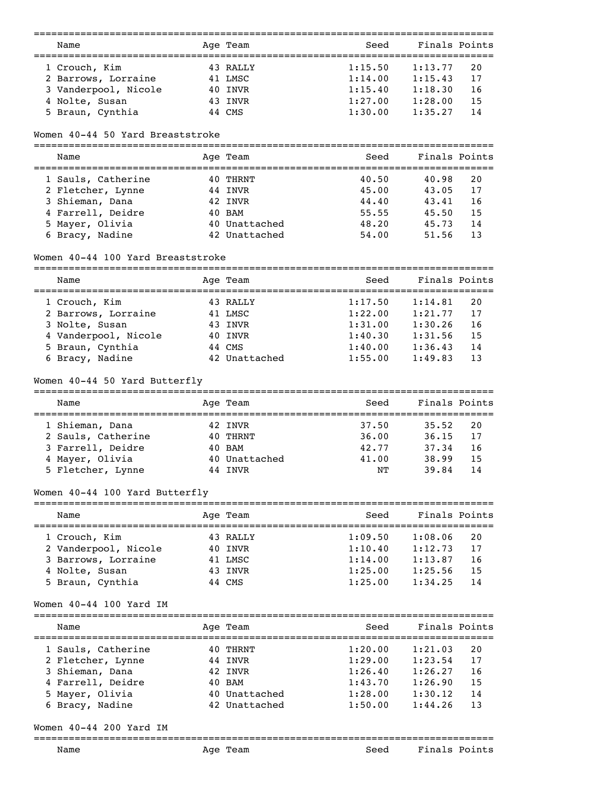|                                                              | -------       |                                               |               |    |
|--------------------------------------------------------------|---------------|-----------------------------------------------|---------------|----|
| Name                                                         | Age Team      | Seed<br>===================================== | Finals Points |    |
| 1 Crouch, Kim                                                | 43 RALLY      | 1:15.50                                       | 1:13.77       | 20 |
| 2 Barrows, Lorraine                                          | 41 LMSC       | 1:14.00                                       | 1:15.43       | 17 |
| 3 Vanderpool, Nicole                                         | 40 INVR       | 1:15.40                                       | 1:18.30       | 16 |
| 4 Nolte, Susan                                               | 43 INVR       | 1:27.00                                       | 1:28.00       | 15 |
| 5 Braun, Cynthia                                             | 44 CMS        | 1:30.00                                       | 1:35.27       | 14 |
|                                                              |               |                                               |               |    |
| Women 40-44 50 Yard Breaststroke                             |               |                                               |               |    |
| Name                                                         | Age Team      | Seed<br>===================================   | Finals Points |    |
| 1 Sauls, Catherine                                           | 40 THRNT      | 40.50                                         | 40.98         | 20 |
| 2 Fletcher, Lynne                                            | 44 INVR       | 45.00                                         | 43.05         | 17 |
| 3 Shieman, Dana                                              | 42 INVR       | 44.40                                         | 43.41         | 16 |
| 4 Farrell, Deidre                                            | 40 BAM        | 55.55                                         | 45.50         | 15 |
| 5 Mayer, Olivia                                              | 40 Unattached | 48.20                                         | 45.73         | 14 |
| 6 Bracy, Nadine                                              | 42 Unattached | 54.00                                         | 51.56         | 13 |
| Women 40-44 100 Yard Breaststroke                            |               |                                               |               |    |
| Name                                                         | Age Team      | Seed                                          | Finals Points |    |
| 1 Crouch, Kim                                                | 43 RALLY      | 1:17.50                                       | 1:14.81       | 20 |
| 2 Barrows, Lorraine                                          | 41 LMSC       | 1:22.00                                       | 1:21.77       | 17 |
| 3 Nolte, Susan                                               | 43 INVR       | 1:31.00                                       | 1:30.26       | 16 |
|                                                              |               |                                               |               |    |
| 4 Vanderpool, Nicole                                         | 40 INVR       | 1:40.30                                       | 1:31.56       | 15 |
| 5 Braun, Cynthia                                             | 44 CMS        | 1:40.00                                       | 1:36.43       | 14 |
| 6 Bracy, Nadine                                              | 42 Unattached | 1:55.00                                       | 1:49.83       | 13 |
| Women 40-44 50 Yard Butterfly                                |               |                                               |               |    |
| Name                                                         | Age Team      | Seed                                          | Finals Points |    |
| 1 Shieman, Dana                                              | 42 INVR       | 37.50                                         | 35.52         | 20 |
| 2 Sauls, Catherine                                           | 40 THRNT      | 36.00                                         | 36.15         | 17 |
| 3 Farrell, Deidre                                            | 40 BAM        | 42.77                                         | 37.34         | 16 |
| 4 Mayer, Olivia                                              | 40 Unattached | 41.00                                         | 38.99         | 15 |
| 5 Fletcher, Lynne                                            | 44 INVR       | NΤ                                            | 39.84         | 14 |
|                                                              |               |                                               |               |    |
| Women 40-44 100 Yard Butterfly<br>========================== | ============  |                                               |               |    |
| Name                                                         | Aqe Team      | Seed                                          | Finals Points |    |
| 1 Crouch, Kim                                                | 43 RALLY      | 1:09.50                                       | 1:08.06       | 20 |
| 2 Vanderpool, Nicole                                         | 40 INVR       | 1:10.40                                       | 1:12.73       | 17 |
| 3 Barrows, Lorraine                                          | 41 LMSC       | 1:14.00                                       | 1:13.87       | 16 |
| 4 Nolte, Susan                                               | 43 INVR       | 1:25.00                                       | 1:25.56       | 15 |
| 5 Braun, Cynthia                                             | 44 CMS        | 1:25.00                                       | 1:34.25       | 14 |
| Women $40-44$ 100 Yard IM                                    |               |                                               |               |    |
| =============================<br>Name                        | Age Team      | Seed                                          | Finals Points |    |
| 1 Sauls, Catherine                                           | 40 THRNT      | 1:20.00                                       | 1:21.03       | 20 |
| 2 Fletcher, Lynne                                            | 44 INVR       | 1:29.00                                       | 1:23.54       | 17 |
|                                                              |               |                                               |               |    |
| 3 Shieman, Dana                                              | 42 INVR       | 1:26.40                                       | 1:26.27       | 16 |
| 4 Farrell, Deidre                                            | 40 BAM        | 1:43.70                                       | 1:26.90       | 15 |
| 5 Mayer, Olivia                                              | 40 Unattached | 1:28.00                                       | 1:30.12       | 14 |
| 6 Bracy, Nadine                                              | 42 Unattached | 1:50.00                                       | 1:44.26       | 13 |
| Women 40-44 200 Yard IM                                      |               |                                               |               |    |
|                                                              |               |                                               |               |    |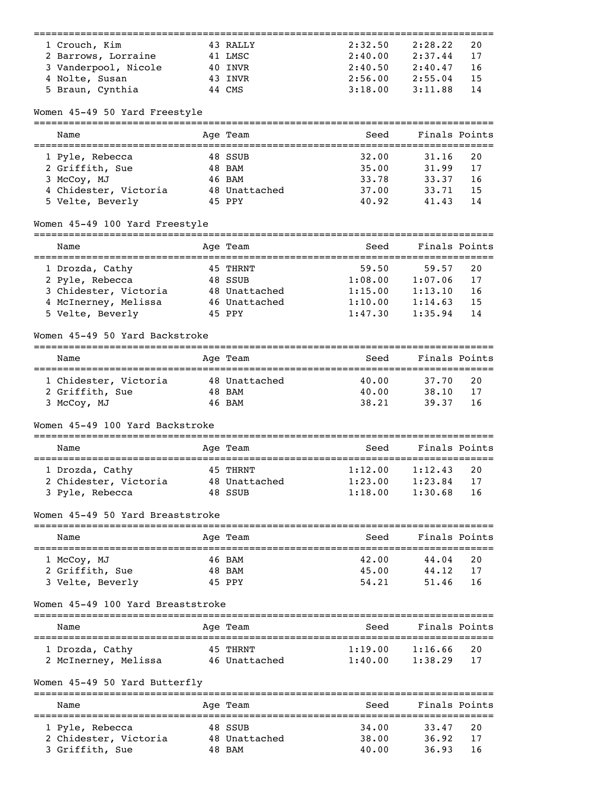|                                                   |                                              |                                         | ==============                |    |
|---------------------------------------------------|----------------------------------------------|-----------------------------------------|-------------------------------|----|
| 1 Crouch, Kim                                     | 43 RALLY                                     | 2:32.50                                 | 2:28.22                       | 20 |
| 2 Barrows, Lorraine                               | 41 LMSC                                      | 2:40.00                                 | 2:37.44                       | 17 |
| 3 Vanderpool, Nicole                              | 40 INVR                                      | 2:40.50                                 | 2:40.47                       | 16 |
| 4 Nolte, Susan                                    | 43 INVR                                      | 2:56.00                                 | 2:55.04                       | 15 |
| 5 Braun, Cynthia                                  | 44 CMS                                       | 3:18.00                                 | 3:11.88                       | 14 |
| Women 45-49 50 Yard Freestyle                     |                                              |                                         |                               |    |
| Name                                              | Age Team                                     | Seed                                    | Finals Points                 |    |
| 1 Pyle, Rebecca                                   | 48 SSUB                                      | 32.00                                   | 31.16                         | 20 |
| 2 Griffith, Sue                                   | 48 BAM                                       | 35.00                                   | 31.99                         | 17 |
| 3 McCoy, MJ                                       | 46 BAM                                       | 33.78                                   | 33.37                         | 16 |
| 4 Chidester, Victoria                             | 48 Unattached                                | 37.00                                   | 33.71                         | 15 |
| 5 Velte, Beverly                                  | 45 PPY                                       | 40.92                                   | 41.43                         | 14 |
| Women 45-49 100 Yard Freestyle                    |                                              |                                         |                               |    |
| Name                                              | ========<br>Age Team                         | Seed                                    | Finals Points                 |    |
| 1 Drozda, Cathy                                   | 45 THRNT                                     | ==============================<br>59.50 | 59.57                         | 20 |
| 2 Pyle, Rebecca                                   | 48 SSUB                                      | 1:08.00                                 | 1:07.06                       | 17 |
| 3 Chidester, Victoria                             | 48 Unattached                                | 1:15.00                                 | 1:13.10                       | 16 |
| 4 McInerney, Melissa                              | 46 Unattached                                | 1:10.00                                 | 1:14.63                       | 15 |
| 5 Velte, Beverly                                  | 45 PPY                                       | 1:47.30                                 | 1:35.94                       | 14 |
| Women 45-49 50 Yard Backstroke                    |                                              |                                         |                               |    |
|                                                   |                                              |                                         |                               |    |
| Name                                              | Age Team                                     | Seed                                    | Finals Points                 |    |
| 1 Chidester, Victoria                             | 48 Unattached                                | 40.00                                   | 37.70                         | 20 |
| 2 Griffith, Sue                                   | 48 BAM                                       | 40.00                                   | 38.10                         | 17 |
| 3 McCoy, MJ                                       | 46 BAM                                       | 38.21                                   | 39.37                         | 16 |
| Women 45-49 100 Yard Backstroke                   |                                              |                                         |                               |    |
| Name                                              | Age Team                                     | Seed                                    | Finals Points                 |    |
| 1 Drozda, Cathy                                   | 45 THRNT                                     | 1:12.00                                 | 1:12.43                       | 20 |
| 2 Chidester, Victoria                             | 48 Unattached                                | 1:23.00                                 | 1:23.84                       | 17 |
| 3 Pyle, Rebecca                                   | 48 SSUB                                      | 1:18.00                                 | 1:30.68                       | 16 |
| Women 45-49 50 Yard Breaststroke                  |                                              |                                         |                               |    |
| Name                                              | Age Team                                     | Seed                                    | Finals Points                 |    |
| ==========================<br>1 McCoy, MJ         | ==================================<br>46 BAM | 42.00                                   | ====================<br>44.04 | 20 |
| 2 Griffith, Sue                                   | 48 BAM                                       | 45.00                                   | 44.12                         | 17 |
| 3 Velte, Beverly                                  | 45 PPY                                       | 54.21                                   | 51.46                         | 16 |
| Women 45-49 100 Yard Breaststroke                 |                                              |                                         |                               |    |
| Name                                              | Age Team                                     | Seed                                    | Finals Points                 |    |
|                                                   |                                              |                                         |                               |    |
| 1 Drozda, Cathy                                   | 45 THRNT                                     | 1:19.00                                 | 1:16.66                       | 20 |
| 2 McInerney, Melissa                              | 46 Unattached                                | 1:40.00                                 | 1:38.29                       | 17 |
| Women 45-49 50 Yard Butterfly                     |                                              |                                         |                               |    |
| Name                                              | =========<br>Age Team                        | Seed                                    | Finals Points                 |    |
| ==============================<br>1 Pyle, Rebecca | 48 SSUB                                      | 34.00                                   | 33.47                         | 20 |
| 2 Chidester, Victoria                             | 48 Unattached                                | 38.00                                   | 36.92                         | 17 |
| 3 Griffith, Sue                                   | 48 BAM                                       | 40.00                                   | 36.93                         | 16 |
|                                                   |                                              |                                         |                               |    |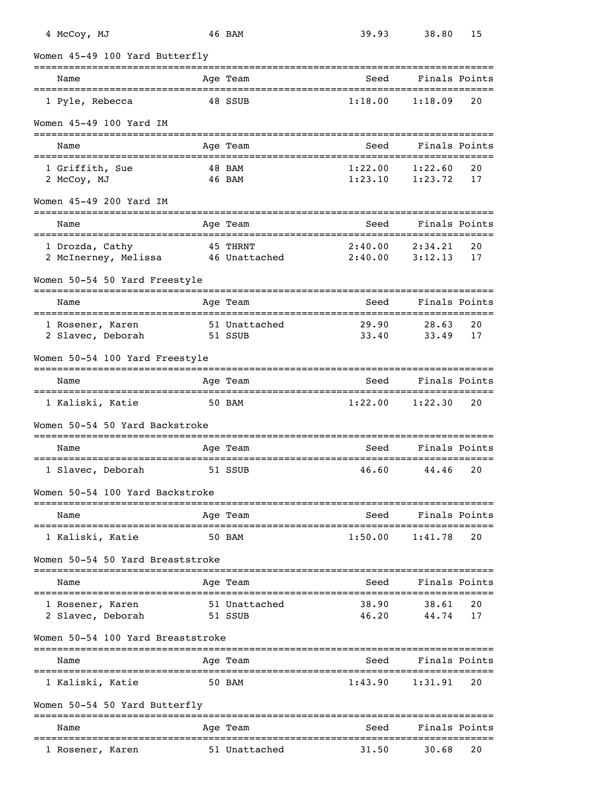| 4 McCoy, MJ                                           |              | 46 BAM                   | 39.93                                     | 38.80              | 15       |
|-------------------------------------------------------|--------------|--------------------------|-------------------------------------------|--------------------|----------|
| Women 45-49 100 Yard Butterfly                        |              |                          |                                           |                    |          |
| Name                                                  |              | Age Team                 | Seed                                      | Finals Points      |          |
| 1 Pyle, Rebecca                                       |              | 48 SSUB                  | 1:18.00                                   | 1:18.09            | 20       |
| Women 45-49 100 Yard IM                               |              |                          |                                           |                    |          |
| Name<br>==================================            |              | Age Team                 | Seed<br>================================= | Finals Points      |          |
| 1 Griffith, Sue<br>2 McCoy, MJ                        |              | 48 BAM<br>46 BAM         | 1:22.00<br>1:23.10                        | 1:22.60<br>1:23.72 | 20<br>17 |
| Women 45-49 200 Yard IM                               |              |                          |                                           |                    |          |
| Name                                                  |              | Age Team                 | Seed                                      | Finals Points      |          |
| 1 Drozda, Cathy<br>2 McInerney, Melissa 46 Unattached |              | 45 THRNT                 | 2:40.00<br>2:40.00                        | 2:34.21<br>3:12.13 | 20<br>17 |
| Women 50-54 50 Yard Freestyle                         |              |                          |                                           |                    |          |
| Name                                                  |              | Age Team                 | Seed                                      | Finals Points      |          |
| 1 Rosener, Karen<br>2 Slavec, Deborah                 |              | 51 Unattached<br>51 SSUB | 29.90<br>33.40                            | 28.63<br>33.49     | 20<br>17 |
| Women 50-54 100 Yard Freestyle                        |              |                          |                                           |                    |          |
| Name                                                  | ============ | Age Team                 | Seed                                      | Finals Points      |          |
| 1 Kaliski, Katie                                      | 50 BAM       |                          | 1:22.00                                   | 1:22.30            | 20       |
| Women 50-54 50 Yard Backstroke                        |              |                          |                                           |                    |          |
| Name                                                  |              | Age Team                 | Seed                                      | Finals Points      |          |
| 1 Slavec, Deborah                                     |              | 51 SSUB                  | 46.60                                     | 44.46              | 20       |
| Women 50-54 100 Yard Backstroke                       |              |                          |                                           |                    |          |
| Name                                                  |              | Age Team                 | Seed                                      | Finals Points      |          |
| 1 Kaliski, Katie                                      |              | 50 BAM                   | 1:50.00                                   | 1:41.78            | 20       |
| Women 50-54 50 Yard Breaststroke                      |              |                          |                                           |                    |          |
| Name                                                  |              | Age Team                 | Seed                                      | Finals Points      |          |
| 1 Rosener, Karen<br>2 Slavec, Deborah                 |              | 51 Unattached<br>51 SSUB | 38.90<br>46.20                            | 38.61<br>44.74     | 20<br>17 |
| Women 50-54 100 Yard Breaststroke                     |              |                          |                                           |                    |          |
| Name                                                  |              | Age Team                 | Seed                                      | Finals Points      |          |
| 1 Kaliski, Katie                                      |              | 50 BAM                   | 1:43.90                                   | 1:31.91            | 20       |
| Women 50-54 50 Yard Butterfly                         |              |                          |                                           |                    |          |
| Name                                                  |              | Age Team                 | Seed                                      | Finals Points      |          |
| 1 Rosener, Karen                                      |              | 51 Unattached            | 31.50                                     | 30.68              | 20       |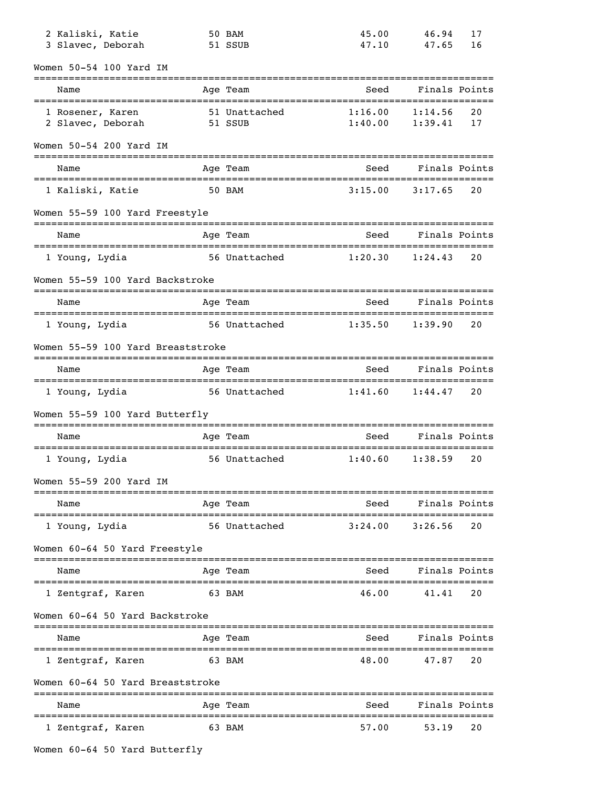| 2 Kaliski, Katie<br>3 Slavec, Deborah | 50 BAM<br>51 SSUB           | 45.00<br>47.10     | 46.94<br>47.65     | 17<br>16 |
|---------------------------------------|-----------------------------|--------------------|--------------------|----------|
| Women 50-54 100 Yard IM               |                             |                    |                    |          |
| Name                                  | Age Team                    | Seed               | Finals Points      |          |
| 1 Rosener, Karen<br>2 Slavec, Deborah | 51 Unattached<br>51 SSUB    | 1:16.00<br>1:40.00 | 1:14.56<br>1:39.41 | 20<br>17 |
| Women 50-54 200 Yard IM               |                             |                    |                    |          |
| Name                                  | Age Team                    | Seed               | Finals Points      |          |
| 1 Kaliski, Katie                      | 50 BAM                      | 3:15.00            | 3:17.65            | 20       |
| Women 55-59 100 Yard Freestyle        |                             |                    |                    |          |
| ==================<br>Name            | Age Team                    | Seed               | Finals Points      |          |
| 1 Young, Lydia                        | 56 Unattached               | 1:20.30            | 1:24.43            | 20       |
| Women 55-59 100 Yard Backstroke       |                             |                    |                    |          |
| Name                                  | Age Team                    | Seed               | Finals Points      |          |
| 1 Young, Lydia                        | 56 Unattached               | 1:35.50            | 1:39.90            | 20       |
| Women 55-59 100 Yard Breaststroke     |                             |                    |                    |          |
| Name                                  | Age Team                    | Seed               | Finals Points      |          |
| 1 Young, Lydia                        | 56 Unattached               | 1:41.60            | 1:44.47            | 20       |
| Women 55-59 100 Yard Butterfly        |                             |                    |                    |          |
| Name                                  | Age Team                    | Seed               | Finals Points      |          |
| 1 Young, Lydia                        | 56 Unattached               | 1:40.60            | 1:38.59            | 20       |
| Women 55-59 200 Yard IM               |                             |                    |                    |          |
| Name                                  | Age Team                    | Seed               | Finals Points      |          |
| --------------<br>l Young, Lydia      | 56 Unattached               | 3:24.00            | 3:26.56            | 20       |
| Women 60-64 50 Yard Freestyle         |                             |                    |                    |          |
| Name                                  | Age Team                    | Seed               | Finals Points      |          |
| 1 Zentgraf, Karen                     | 63 BAM                      | 46.00              | 41.41              | 20       |
| Women 60-64 50 Yard Backstroke        |                             |                    |                    |          |
| Name                                  | Age Team                    | Seed               | Finals Points      |          |
| 1 Zentgraf, Karen                     | 63 BAM                      | 48.00              | 47.87              | 20       |
| Women 60-64 50 Yard Breaststroke      |                             |                    |                    |          |
| Name                                  | ===============<br>Age Team | Seed               | Finals Points      |          |
|                                       |                             |                    |                    |          |
| 1 Zentgraf, Karen                     | 63 BAM                      | 57.00              | 53.19              | 20       |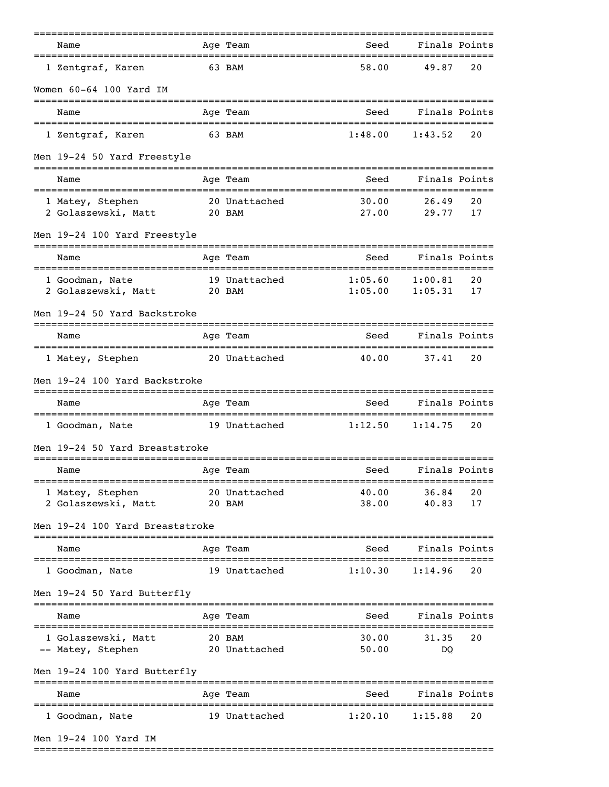| Name                                                  | Age Team                | Seed                                                  | Finals Points        |          |
|-------------------------------------------------------|-------------------------|-------------------------------------------------------|----------------------|----------|
| ================================<br>1 Zentgraf, Karen | 63 BAM                  | =================================<br>58.00            | 49.87                | 20       |
| Women 60-64 100 Yard IM                               |                         |                                                       |                      |          |
| Name                                                  | Age Team                | Seed                                                  | Finals Points        |          |
| 1 Zentgraf, Karen                                     | 63 BAM                  | 1:48.00                                               | 1:43.52              | 20       |
| Men 19-24 50 Yard Freestyle                           |                         |                                                       |                      |          |
| Name                                                  | Age Team                | Seed                                                  | Finals Points        |          |
| 1 Matey, Stephen<br>2 Golaszewski, Matt 20 BAM        | 20 Unattached           | 30.00<br>27.00                                        | 26.49<br>29.77       | 20<br>17 |
| Men 19-24 100 Yard Freestyle                          |                         |                                                       |                      |          |
| Name                                                  | ===========<br>Age Team | Seed                                                  | Finals Points        |          |
| 1 Goodman, Nate<br>2 Golaszewski, Matt                | 19 Unattached<br>20 BAM | -==============================<br>1:05.60<br>1:05.00 | 1:00.81<br>1:05.31   | 20<br>17 |
| Men 19-24 50 Yard Backstroke                          |                         |                                                       |                      |          |
| Name                                                  | Age Team                | Seed                                                  | Finals Points        |          |
| 1 Matey, Stephen                                      | 20 Unattached           | 40.00                                                 | 37.41                | 20       |
| Men 19-24 100 Yard Backstroke                         |                         |                                                       |                      |          |
| Name                                                  | Age Team                | Seed                                                  | Finals Points        |          |
| 1 Goodman, Nate                                       | 19 Unattached           | 1:12.50                                               | 1:14.75              | 20       |
| Men 19-24 50 Yard Breaststroke                        |                         |                                                       |                      |          |
| Name                                                  | Age Team                | Seed                                                  | Finals Points        |          |
| 1 Matey, Stephen<br>2 Golaszewski, Matt               | 20 Unattached<br>20 BAM | 40.00<br>38.00                                        | 36.84<br>40.83       | 20<br>17 |
| Men 19-24 100 Yard Breaststroke                       |                         |                                                       |                      |          |
| Name                                                  | Age Team                | Seed                                                  | Finals Points        |          |
| 1 Goodman, Nate                                       | 19 Unattached           | 1:10.30                                               | 1:14.96              | 20       |
| Men 19-24 50 Yard Butterfly                           |                         |                                                       |                      |          |
| Name                                                  | Age Team                | Seed                                                  | Finals Points        |          |
| 1 Golaszewski, Matt<br>-- Matey, Stephen              | 20 BAM<br>20 Unattached | 30.00<br>50.00                                        | 31.35<br>DQ          | 20       |
| Men 19-24 100 Yard Butterfly                          |                         |                                                       |                      |          |
| Name                                                  | Age Team                | Seed                                                  | Finals Points        |          |
| 1 Goodman, Nate                                       | 19 Unattached           | 1:20.10                                               | =========<br>1:15.88 | 20       |
| Men 19-24 100 Yard IM                                 |                         |                                                       |                      |          |

===============================================================================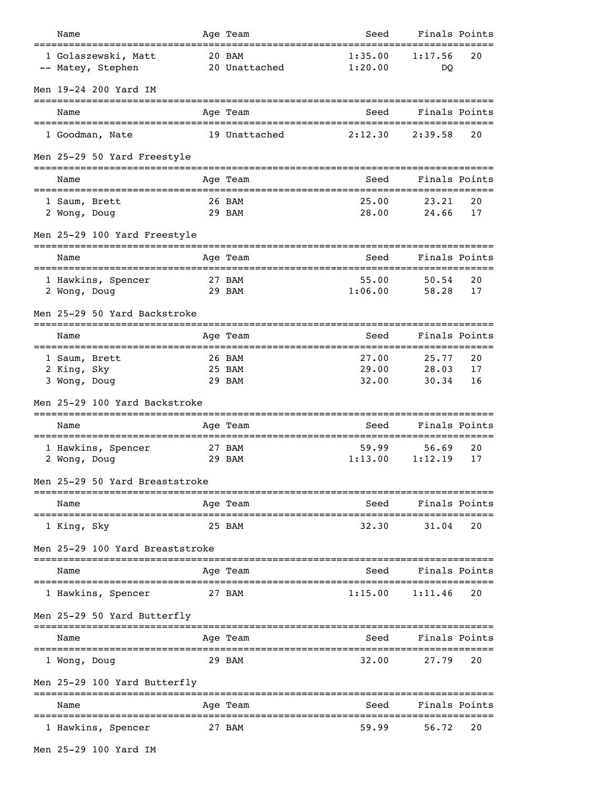| Name                                         |   | Age Team                   | Seed                    | Finals Points                       |                |
|----------------------------------------------|---|----------------------------|-------------------------|-------------------------------------|----------------|
| 1 Golaszewski, Matt<br>-- Matey, Stephen     |   | 20 BAM<br>20 Unattached    | 1:35.00<br>1:20.00      | 1:17.56<br>DO                       | 20             |
| Men 19-24 200 Yard IM                        |   |                            |                         |                                     |                |
| Name                                         |   | Age Team                   | Seed                    | Finals Points                       |                |
| 1 Goodman, Nate                              |   | 19 Unattached              | 2:12.30                 | 2:39.58                             | 20             |
| Men 25-29 50 Yard Freestyle                  |   |                            |                         |                                     |                |
| Name                                         |   | Age Team                   | Seed                    | Finals Points                       |                |
| 1 Saum, Brett<br>2 Wong, Doug                |   | 26 BAM<br>29 BAM           | 25.00<br>28.00          | 23.21<br>24.66                      | 20<br>17       |
| Men 25-29 100 Yard Freestyle                 |   | --------                   |                         | ================                    |                |
| Name                                         |   | Age Team                   | Seed                    | Finals Points                       |                |
| 1 Hawkins, Spencer<br>2 Wong, Doug           |   | 27 BAM<br>29 BAM           | 55.00<br>1:06.00        | 50.54<br>58.28                      | 20<br>17       |
| Men 25-29 50 Yard Backstroke                 |   |                            |                         |                                     |                |
| Name                                         |   | Age Team                   | Seed                    | Finals Points                       |                |
| 1 Saum, Brett<br>2 King, Sky<br>3 Wong, Doug |   | 26 BAM<br>25 BAM<br>29 BAM | 27.00<br>29.00<br>32.00 | 25.77<br>28.03<br>30.34             | 20<br>17<br>16 |
| Men 25-29 100 Yard Backstroke                |   |                            |                         |                                     |                |
| Name                                         |   | Age Team                   | Seed                    | ==================<br>Finals Points |                |
| 1 Hawkins, Spencer<br>2 Wong, Doug           |   | 27 BAM<br>29 BAM           | 59.99<br>1:13.00        | 56.69<br>1:12.19                    | 20<br>17       |
| Men 25-29 50 Yard Breaststroke               |   |                            |                         |                                     |                |
| Name<br>==================                   |   | Age Team                   | Seed                    | Finals Points                       |                |
| 1 King, Sky                                  |   | 25 BAM                     | 32.30                   | 31.04                               | 20             |
| Men 25-29 100 Yard Breaststroke              |   |                            |                         |                                     |                |
| Name                                         |   | Age Team                   | Seed                    | Finals Points                       |                |
| 1 Hawkins, Spencer                           |   | 27 BAM                     | 1:15.00                 | 1:11.46                             | 20             |
| Men 25-29 50 Yard Butterfly                  |   |                            |                         |                                     |                |
| Name                                         |   | Age Team                   | Seed                    | Finals Points                       |                |
| 1 Wong, Doug                                 |   | 29 BAM                     | 32.00                   | 27.79                               | 20             |
| Men 25-29 100 Yard Butterfly                 |   | ==========                 |                         | ==================                  |                |
| Name                                         | . | Age Team                   | Seed<br>==========      | Finals Points<br>---------------    |                |
| 1 Hawkins, Spencer                           |   | 27 BAM                     | 59.99                   | 56.72                               | 20             |
|                                              |   |                            |                         |                                     |                |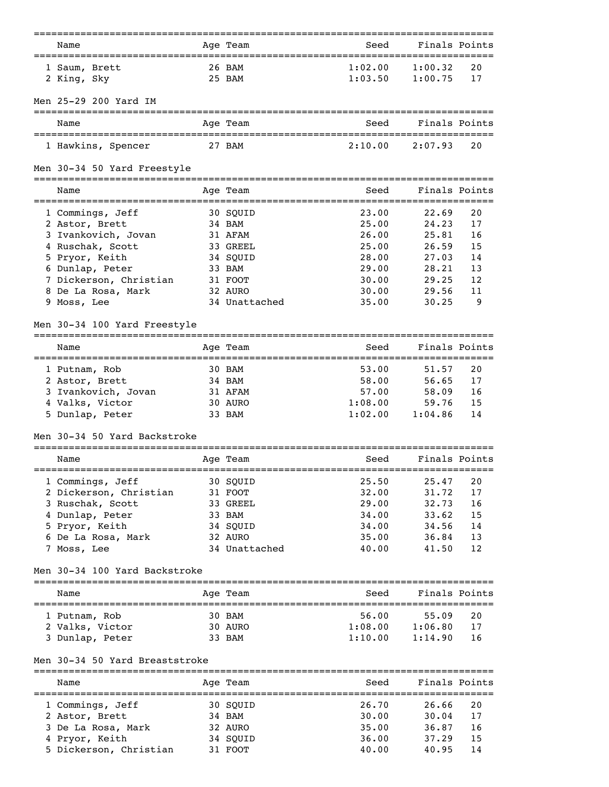|                                | ===================== | ------------------------- |               |               |
|--------------------------------|-----------------------|---------------------------|---------------|---------------|
| Name                           | Age Team              | Seed                      | Finals Points |               |
| 1 Saum, Brett                  | 26 BAM                | 1:02.00                   | 1:00.32       | 20            |
| 2 King, Sky                    | 25 BAM                | 1:03.50                   | 1:00.75       | 17            |
|                                |                       |                           |               |               |
| Men 25-29 200 Yard IM          |                       |                           |               |               |
|                                |                       |                           |               |               |
| Name                           | Age Team              | Seed                      | Finals Points |               |
| 1 Hawkins, Spencer             | 27 BAM                | 2:10.00                   | 2:07.93       | 20            |
| Men 30-34 50 Yard Freestyle    |                       |                           |               |               |
| Name                           | Age Team              | Seed                      |               | Finals Points |
| 1 Commings, Jeff               | 30 SQUID              | 23.00                     | 22.69         | 20            |
| 2 Astor, Brett                 | 34 BAM                | 25.00                     | 24.23         | 17            |
| 3 Ivankovich, Jovan            | 31 AFAM               | 26.00                     | 25.81         | 16            |
| 4 Ruschak, Scott               | 33 GREEL              | 25.00                     | 26.59         | 15            |
| 5 Pryor, Keith                 | 34 SQUID              | 28.00                     | 27.03         | 14            |
| 6 Dunlap, Peter                | 33 BAM                | 29.00                     | 28.21         | 13            |
| 7 Dickerson, Christian         | 31 FOOT               | 30.00                     | 29.25         | 12            |
| 8 De La Rosa, Mark             | 32 AURO               | 30.00                     | 29.56         | 11            |
| 9 Moss, Lee                    | 34 Unattached         | 35.00                     | 30.25         | 9             |
| Men 30-34 100 Yard Freestyle   |                       |                           |               |               |
| Name                           | Age Team              | Seed                      | Finals Points |               |
|                                |                       |                           |               |               |
| 1 Putnam, Rob                  | 30 BAM                | 53.00                     | 51.57         | 20            |
| 2 Astor, Brett                 | 34 BAM                | 58.00                     | 56.65         | 17            |
| 3 Ivankovich, Jovan            | 31 AFAM               | 57.00                     | 58.09         | 16            |
| 4 Valks, Victor                | 30 AURO               | 1:08.00                   | 59.76         | 15            |
| 5 Dunlap, Peter                | 33 BAM                | 1:02.00                   | 1:04.86       | 14            |
| Men 30-34 50 Yard Backstroke   |                       |                           |               |               |
| Name                           | Age Team              | Seed                      |               | Finals Points |
|                                |                       |                           |               |               |
| 1 Commings, Jeff               | 30 SQUID              | 25.50                     | 25.47         | 20            |
| 2 Dickerson, Christian         | 31 FOOT               | 32.00                     | 31.72         | 17            |
| 3 Ruschak, Scott               | 33 GREEL              | 29.00                     | 32.73         | 16            |
| 4 Dunlap, Peter                | 33 BAM                | 34.00                     | 33.62         | 15            |
| 5 Pryor, Keith                 | 34 SQUID              | 34.00                     | 34.56         | 14            |
| 6 De La Rosa, Mark             | 32 AURO               | 35.00                     | 36.84         | 13            |
| 7 Moss, Lee                    | 34 Unattached         | 40.00                     | 41.50         | 12            |
| Men 30-34 100 Yard Backstroke  |                       |                           |               |               |
| Name                           | Age Team              | Seed                      | Finals Points |               |
|                                |                       |                           |               |               |
| 1 Putnam, Rob                  | 30 BAM                | 56.00                     | 55.09         | 20            |
| 2 Valks, Victor                | 30 AURO               | 1:08.00                   | 1:06.80       | 17            |
| 3 Dunlap, Peter                | 33 BAM                | 1:10.00                   | 1:14.90       | 16            |
| Men 30-34 50 Yard Breaststroke |                       |                           |               |               |
| Name                           | Age Team              | Seed                      | Finals Points |               |
| 1 Commings, Jeff               | 30 SQUID              | 26.70                     | 26.66         | 20            |
| 2 Astor, Brett                 | 34 BAM                | 30.00                     | 30.04         | 17            |
| 3 De La Rosa, Mark             | 32 AURO               | 35.00                     | 36.87         | 16            |
| 4 Pryor, Keith                 | 34 SQUID              | 36.00                     | 37.29         | 15            |
| 5 Dickerson, Christian         | 31 FOOT               | 40.00                     | 40.95         | 14            |
|                                |                       |                           |               |               |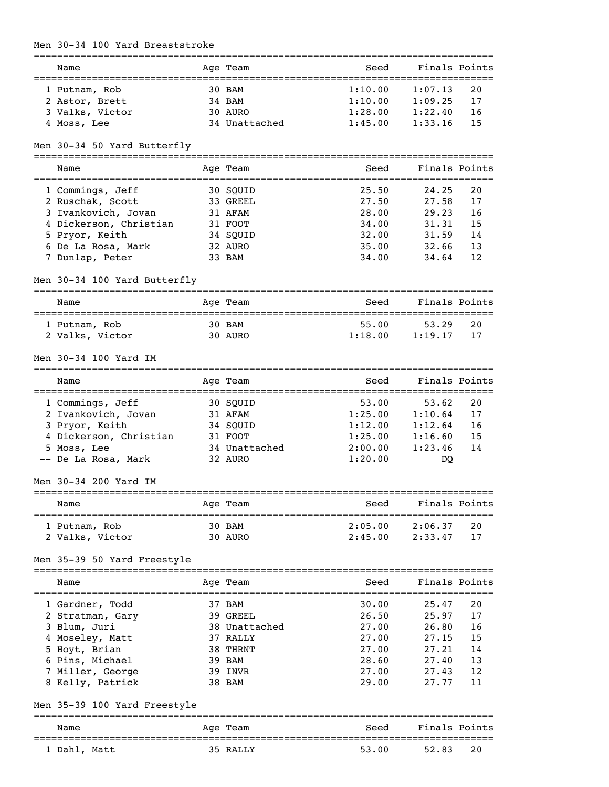#### Men 30-34 100 Yard Breaststroke

| Name            |  | Age Team      | Seed    | Finals Points |     |  |  |  |
|-----------------|--|---------------|---------|---------------|-----|--|--|--|
|                 |  |               |         |               |     |  |  |  |
| 1 Putnam, Rob   |  | 30 BAM        | 1:10.00 | 1:07.13       | 20  |  |  |  |
| 2 Astor, Brett  |  | 34 BAM        | 1:10.00 | 1:09.25       | 17  |  |  |  |
| 3 Valks, Victor |  | 30 AURO       | 1:28.00 | 1:22.40       | -16 |  |  |  |
| 4 Moss, Lee     |  | 34 Unattached | 1:45.00 | 1:33.16       | -15 |  |  |  |

## Men 30-34 50 Yard Butterfly

===============================================================================

| Name                   | Age Team | Seed  | Finals Points |     |
|------------------------|----------|-------|---------------|-----|
| 1 Commings, Jeff       | 30 SOUID | 25.50 | 24.25         | 20  |
| 2 Ruschak, Scott       | 33 GREEL | 27.50 | 27.58         | 17  |
| 3 Ivankovich, Jovan    | 31 AFAM  | 28.00 | 29.23         | 16  |
| 4 Dickerson, Christian | 31 FOOT  | 34.00 | 31.31         | 15  |
| 5 Pryor, Keith         | 34 SOUID | 32.00 | 31.59         | 14  |
| 6 De La Rosa, Mark     | 32 AURO  | 35.00 | 32.66         | 13  |
| 7 Dunlap, Peter        | 33 BAM   | 34.00 | 34.64         | 12. |

## Men 30-34 100 Yard Butterfly

| Name            | Age Team | Seed    | Finals Points |  |  |  |  |
|-----------------|----------|---------|---------------|--|--|--|--|
| 1 Putnam, Rob   | 30 BAM   | 55.00   | 53.29<br>20   |  |  |  |  |
| 2 Valks, Victor | 30 AURO  | 1:18.00 | 1:19.17<br>17 |  |  |  |  |

## Men 30-34 100 Yard IM

| Name                   | Age Team      | Seed    | Finals Points |    |
|------------------------|---------------|---------|---------------|----|
|                        |               |         |               |    |
| 1 Commings, Jeff       | 30 SOUID      | 53.00   | 53.62         | 20 |
| 2 Ivankovich, Jovan    | 31 AFAM       | 1:25.00 | 1:10.64       | 17 |
| 3 Pryor, Keith         | 34 SOUID      | 1:12.00 | 1:12.64       | 16 |
| 4 Dickerson, Christian | 31 FOOT       | 1:25.00 | 1:16.60       | 15 |
| 5 Moss, Lee            | 34 Unattached | 2:00.00 | 1:23.46       | 14 |
| -- De La Rosa, Mark    | 32 AURO       | 1:20.00 | DO            |    |

## Men 30-34 200 Yard IM

| Name            | Age Team | Seed    | Finals Points  |  |  |  |  |
|-----------------|----------|---------|----------------|--|--|--|--|
| 1 Putnam, Rob   | 30 BAM   | 2:05.00 | 2:06.37<br>20  |  |  |  |  |
| 2 Valks, Victor | 30 AURO  | 2:45.00 | 2:33.47<br>-17 |  |  |  |  |

# Men 35-39 50 Yard Freestyle

| Name             | Age Team      | Seed  | Finals Points |     |
|------------------|---------------|-------|---------------|-----|
| 1 Gardner, Todd  | 37 BAM        | 30.00 | 25.47         | 20  |
| 2 Stratman, Gary | 39 GREEL      | 26.50 | 25.97         | 17  |
| 3 Blum, Juri     | 38 Unattached | 27.00 | 26.80         | 16  |
| 4 Moseley, Matt  | 37 RALLY      | 27.00 | 27.15         | 15  |
| 5 Hoyt, Brian    | 38 THRNT      | 27.00 | 27.21         | 14  |
| 6 Pins, Michael  | 39 BAM        | 28.60 | 27.40         | 13  |
| 7 Miller, George | 39 INVR       | 27.00 | 27.43         | 12. |
| 8 Kelly, Patrick | 38 BAM        | 29.00 | 27.77         | 11  |

## Men 35-39 100 Yard Freestyle

| Name         | Age Team | Seed  | Finals Points |
|--------------|----------|-------|---------------|
| 1 Dahl, Matt | 35 RALLY | 53.00 | -20<br>52.83  |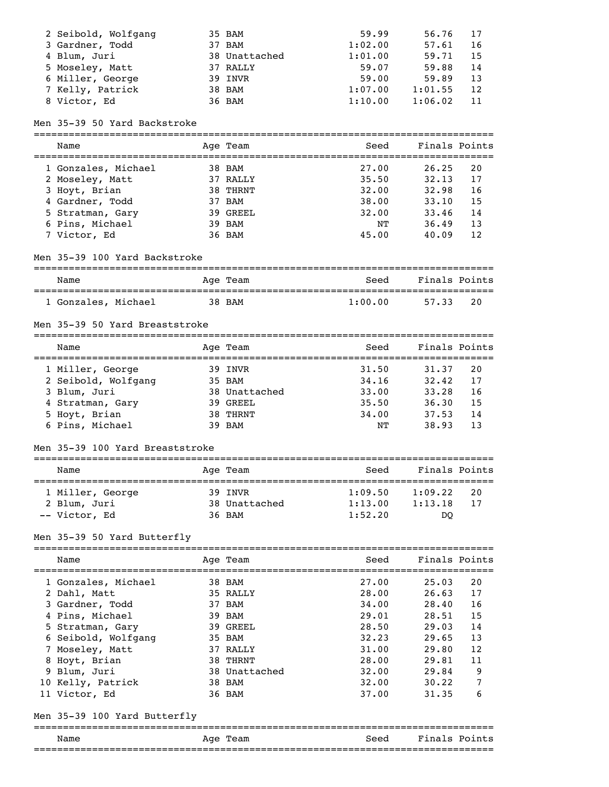| 2 Seibold, Wolfgang | 35 BAM        | 59.99   | 56.76   | 17  |
|---------------------|---------------|---------|---------|-----|
| 3 Gardner, Todd     | 37 BAM        | 1:02.00 | 57.61   | -16 |
| 4 Blum, Juri        | 38 Unattached | 1:01.00 | 59.71   | -15 |
| 5 Moseley, Matt     | 37 RALLY      | 59.07   | 59.88   | 14  |
| 6 Miller, George    | 39 INVR       | 59.00   | 59.89   | 13  |
| 7 Kelly, Patrick    | 38 BAM        | 1:07.00 | 1:01.55 | 12  |
| 8 Victor, Ed        | 36 BAM        | 1:10.00 | 1:06.02 | -11 |

## Men 35-39 50 Yard Backstroke

| Name                | Age Team | Seed  | Finals Points |    |
|---------------------|----------|-------|---------------|----|
| 1 Gonzales, Michael | 38 BAM   | 27.00 | 26.25         | 20 |
| 2 Moseley, Matt     | 37 RALLY | 35.50 | 32.13         | 17 |
| 3 Hoyt, Brian       | 38 THRNT | 32.00 | 32.98         | 16 |
| 4 Gardner, Todd     | 37 BAM   | 38.00 | 33.10         | 15 |
| 5 Stratman, Gary    | 39 GREEL | 32.00 | 33.46         | 14 |
| 6 Pins, Michael     | 39 BAM   | NΤ    | 36.49         | 13 |
| 7 Victor, Ed        | 36 BAM   | 45.00 | 40.09         | 12 |

### Men 35-39 100 Yard Backstroke

| Name                | Aqe Team | Seed    | Finals Points |
|---------------------|----------|---------|---------------|
| 1 Gonzales, Michael | 38 BAM   | 1:00.00 | 20<br>57.33   |

### Men 35-39 50 Yard Breaststroke

| Name                | Age Team      | Seed  | Finals Points |     |
|---------------------|---------------|-------|---------------|-----|
| 1 Miller, George    | 39 INVR       | 31.50 | 31.37         | 2.0 |
| 2 Seibold, Wolfgang | 35 BAM        | 34.16 | 32.42         | 17  |
| 3 Blum, Juri        | 38 Unattached | 33.00 | 33.28         | 16  |
| 4 Stratman, Gary    | 39 GREEL      | 35.50 | 36.30         | 15  |
| 5 Hoyt, Brian       | 38 THRNT      | 34.00 | 37.53         | 14  |
| 6 Pins, Michael     | 39 BAM        | NΤ    | 38.93         | 13  |

## Men 35-39 100 Yard Breaststroke

| Name                             | Age Team                 | Seed               | Finals Points      |          |
|----------------------------------|--------------------------|--------------------|--------------------|----------|
| 1 Miller, George<br>2 Blum, Juri | 39 INVR<br>38 Unattached | 1:09.50<br>1:13.00 | 1:09.22<br>1:13.18 | 20<br>17 |
| -- Victor, Ed                    | 36 BAM                   | 1:52.20            | DO                 |          |

## Men 35-39 50 Yard Butterfly

| Name                         | Age Team      | Seed  | Finals Points |    |
|------------------------------|---------------|-------|---------------|----|
| 1 Gonzales, Michael          | 38 BAM        | 27.00 | 25.03         | 20 |
| 2 Dahl, Matt                 | 35 RALLY      | 28.00 | 26.63         | 17 |
| 3 Gardner, Todd              | 37 BAM        | 34.00 | 28.40         | 16 |
| 4 Pins, Michael              | 39 BAM        | 29.01 | 28.51         | 15 |
| 5 Stratman, Gary             | 39 GREEL      | 28.50 | 29.03         | 14 |
| 6 Seibold, Wolfgang          | 35 BAM        | 32.23 | 29.65         | 13 |
| 7 Moseley, Matt              | 37 RALLY      | 31.00 | 29.80         | 12 |
| 8 Hoyt, Brian                | 38 THRNT      | 28.00 | 29.81         | 11 |
| 9 Blum, Juri                 | 38 Unattached | 32.00 | 29.84         | 9  |
| 10 Kelly, Patrick            | 38 BAM        | 32.00 | 30.22         | 7  |
| 11 Victor, Ed                | 36 BAM        | 37.00 | 31.35         | 6  |
| Men 35–39 100 Yard Butterfly |               |       |               |    |

## =============================================================================== Name Mage Team Age Team Seed Finals Points

===============================================================================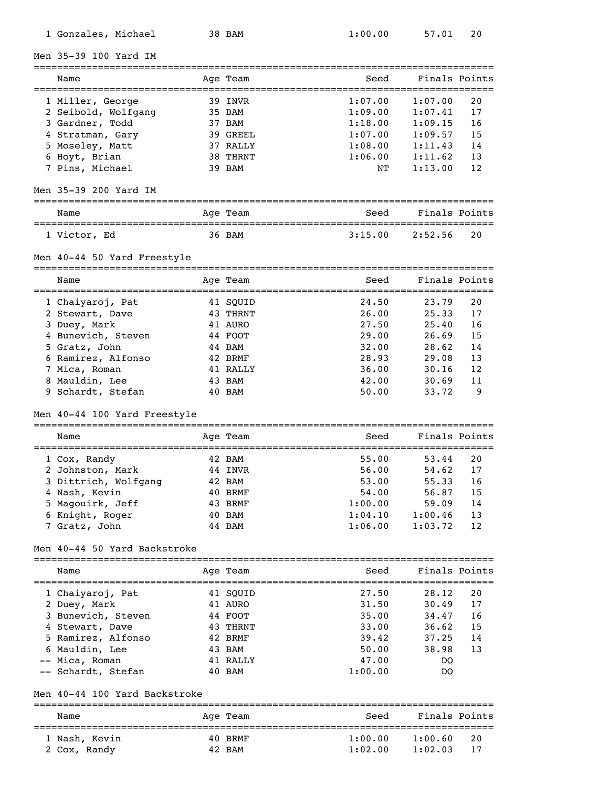| Men 35-39 100 Yard IM                                 |                               |                                               |                                  |    |
|-------------------------------------------------------|-------------------------------|-----------------------------------------------|----------------------------------|----|
| Name<br>====================                          | Age Team<br>================= | Seed<br>------------------------------------- | Finals Points                    |    |
| 1 Miller, George                                      | 39 INVR                       | 1:07.00                                       | 1:07.00                          | 20 |
| 2 Seibold, Wolfgang                                   | 35 BAM                        | 1:09.00                                       | 1:07.41                          | 17 |
| 3 Gardner, Todd                                       | 37 BAM                        | 1:18.00                                       | 1:09.15                          | 16 |
| 4 Stratman, Gary                                      | 39 GREEL                      | 1:07.00                                       | 1:09.57                          | 15 |
| 5 Moseley, Matt                                       | 37 RALLY                      | 1:08.00                                       | 1:11.43                          | 14 |
| 6 Hoyt, Brian                                         | 38 THRNT                      | 1:06.00                                       | 1:11.62                          | 13 |
| 7 Pins, Michael                                       | 39 BAM                        | NΤ                                            | 1:13.00                          | 12 |
| Men 35-39 200 Yard IM<br>============================ |                               |                                               |                                  |    |
| Name                                                  | Age Team                      | Seed                                          | Finals Points                    |    |
| 1 Victor, Ed                                          | 36 BAM                        | 3:15.00                                       | 2:52.56                          | 20 |
| Men 40-44 50 Yard Freestyle                           |                               |                                               |                                  |    |
| Name                                                  | ========<br>Age Team          | Seed                                          | ===============<br>Finals Points |    |
| :===================<br>1 Chaiyaroj, Pat              | ==============<br>41 SQUID    | ===============================<br>24.50      | 23.79                            | 20 |
| 2 Stewart, Dave                                       | 43 THRNT                      | 26.00                                         | 25.33                            | 17 |
| 3 Duey, Mark                                          | 41 AURO                       | 27.50                                         | 25.40                            | 16 |
| 4 Bunevich, Steven                                    | 44 FOOT                       | 29.00                                         | 26.69                            | 15 |
| 5 Gratz, John                                         | 44 BAM                        | 32.00                                         | 28.62                            | 14 |
| 6 Ramirez, Alfonso                                    | 42 BRMF                       | 28.93                                         | 29.08                            | 13 |
| 7 Mica, Roman                                         | 41 RALLY                      | 36.00                                         | 30.16                            | 12 |
| 8 Mauldin, Lee                                        | 43 BAM                        | 42.00                                         | 30.69                            | 11 |
| 9 Schardt, Stefan                                     | 40 BAM                        | 50.00                                         | 33.72                            | 9  |
| Men 40-44 100 Yard Freestyle                          | ==========                    |                                               |                                  |    |
| Name<br>==========================                    | Age Team<br>==============    | Seed<br>==============================        | Finals Points                    |    |
| 1 Cox, Randy                                          | 42 BAM                        | 55.00                                         | 53.44                            | 20 |
| 2 Johnston, Mark                                      | 44 INVR                       | 56.00                                         | 54.62                            | 17 |
| 3 Dittrich, Wolfgang                                  | 42 BAM                        | 53.00                                         | 55.33                            | 16 |
| 4 Nash, Kevin                                         | 40 BRMF                       | 54.00                                         | 56.87                            | 15 |
| 5 Magouirk, Jeff                                      | 43 BRMF                       | 1:00.00                                       | 59.09                            | 14 |
| 6 Knight, Roger                                       | 40 BAM                        | 1:04.10                                       | 1:00.46                          | 13 |
| 7 Gratz, John                                         | 44 BAM                        | 1:06.00                                       | 1:03.72                          | 12 |
| Men 40-44 50 Yard Backstroke                          |                               |                                               |                                  |    |
| Name                                                  | Age Team                      | Seed                                          | Finals Points                    |    |
| 1 Chaiyaroj, Pat                                      | 41 SQUID                      | 27.50                                         | 28.12                            | 20 |
| 2 Duey, Mark                                          | 41 AURO                       | 31.50                                         | 30.49                            | 17 |
| 3 Bunevich, Steven                                    | 44 FOOT                       | 35.00                                         | 34.47                            | 16 |
| 4 Stewart, Dave                                       | 43 THRNT                      | 33.00                                         | 36.62                            | 15 |
| 5 Ramirez, Alfonso                                    | 42 BRMF                       | 39.42                                         | 37.25                            | 14 |
| 6 Mauldin, Lee                                        | 43 BAM                        | 50.00                                         | 38.98                            | 13 |
| -- Mica, Roman                                        | 41 RALLY                      | 47.00                                         | DQ                               |    |
| -- Schardt, Stefan                                    | 40 BAM                        | 1:00.00                                       | DQ                               |    |
| Men 40-44 100 Yard Backstroke                         |                               |                                               |                                  |    |
| Name                                                  | Age Team                      | Seed                                          | Finals Points                    |    |
|                                                       |                               |                                               |                                  |    |

 1 Nash, Kevin 40 BRMF 1:00.00 1:00.60 20 2 Cox, Randy 42 BAM 1:02.00 1:02.03 17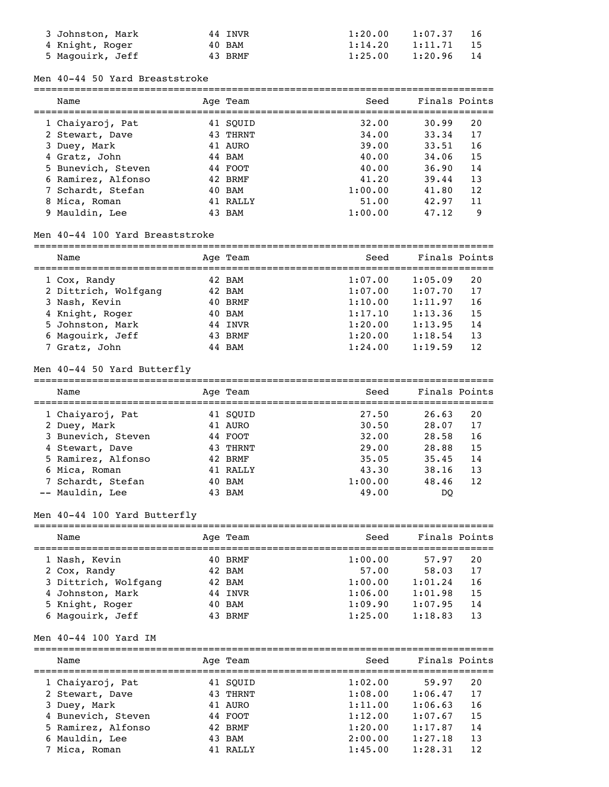| 3 Johnston, Mark | 44 INVR | 1:20.00 | 1:07.37 |    |
|------------------|---------|---------|---------|----|
| 4 Knight, Roger  | 40 BAM  | 1:14.20 | 1:11.71 | 15 |
| 5 Magouirk, Jeff | 43 BRMF | 1:25.00 | 1:20.96 |    |

#### Men 40-44 50 Yard Breaststroke

| Name               | Age Team | Seed    | Finals Points |     |
|--------------------|----------|---------|---------------|-----|
| 1 Chaiyaroj, Pat   | 41 SOUID | 32.00   | 30.99         | 20  |
| 2 Stewart, Dave    | 43 THRNT | 34.00   | 33.34         | 17  |
| 3 Duey, Mark       | 41 AURO  | 39.00   | 33.51         | 16  |
| 4 Gratz, John      | 44 BAM   | 40.00   | 34,06         | 15  |
| 5 Bunevich, Steven | 44 FOOT  | 40.00   | 36.90         | 14  |
| 6 Ramirez, Alfonso | 42 BRMF  | 41.20   | 39.44         | 13  |
| 7 Schardt, Stefan  | 40 BAM   | 1:00.00 | 41.80         | 12. |
| 8 Mica, Roman      | 41 RALLY | 51.00   | 42.97         | 11  |
| 9 Mauldin, Lee     | 43 BAM   | 1:00.00 | 47.12         | 9   |

## Men 40-44 100 Yard Breaststroke

| Name                 |  | Age Team | Seed    | Finals Points |    |
|----------------------|--|----------|---------|---------------|----|
| 1 Cox, Randy         |  | 42 BAM   | 1:07.00 | 1:05.09       | 20 |
| 2 Dittrich, Wolfgang |  | 42 BAM   | 1:07.00 | 1:07.70       | 17 |
| 3 Nash, Kevin        |  | 40 BRMF  | 1:10.00 | 1:11.97       | 16 |
| 4 Knight, Roger      |  | 40 BAM   | 1:17.10 | 1:13.36       | 15 |
| 5 Johnston, Mark     |  | 44 INVR  | 1:20.00 | 1:13.95       | 14 |
| 6 Magouirk, Jeff     |  | 43 BRMF  | 1:20.00 | 1:18.54       | 13 |
| 7 Gratz, John        |  | 44 BAM   | 1:24.00 | 1:19.59       | 12 |

## Men 40-44 50 Yard Butterfly

| Name               | Age Team | Seed    | Finals Points |
|--------------------|----------|---------|---------------|
| 1 Chaiyaroj, Pat   | 41 SOUID | 27.50   | 26.63<br>20   |
| 2 Duey, Mark       | 41 AURO  | 30.50   | 17<br>28.07   |
| 3 Bunevich, Steven | 44 FOOT  | 32.00   | 28.58<br>16   |
| 4 Stewart, Dave    | 43 THRNT | 29.00   | 15<br>28.88   |
| 5 Ramirez, Alfonso | 42 BRMF  | 35.05   | 14<br>35.45   |
| 6 Mica, Roman      | 41 RALLY | 43.30   | 13<br>38.16   |
| 7 Schardt, Stefan  | 40 BAM   | 1:00.00 | 12.<br>48.46  |
| -- Mauldin, Lee    | 43 BAM   | 49.00   | DO            |

## Men 40-44 100 Yard Butterfly

| Name                 | Age Team | Seed    | Finals Points |  |
|----------------------|----------|---------|---------------|--|
| 1 Nash, Kevin        | 40 BRMF  | 1:00.00 | 57.97<br>20   |  |
| 2 Cox, Randy         | 42 BAM   | 57.00   | 17<br>58.03   |  |
| 3 Dittrich, Wolfgang | 42 BAM   | 1:00.00 | 1:01.24<br>16 |  |
| 4 Johnston, Mark     | 44 INVR  | 1:06.00 | 1:01.98<br>15 |  |
| 5 Knight, Roger      | 40 BAM   | 1:09.90 | 1:07.95<br>14 |  |
| 6 Magouirk, Jeff     | 43 BRMF  | 1:25.00 | 1:18.83<br>13 |  |

### Men 40-44 100 Yard IM

| Name               | Age Team | Seed    | Finals Points |    |
|--------------------|----------|---------|---------------|----|
| 1 Chaiyaroj, Pat   | 41 SOUID | 1:02.00 | 59.97         | 20 |
| 2 Stewart, Dave    | 43 THRNT | 1:08.00 | 1:06.47       | 17 |
| 3 Duey, Mark       | 41 AURO  | 1:11.00 | 1:06.63       | 16 |
| 4 Bunevich, Steven | 44 FOOT  | 1:12.00 | 1:07.67       | 15 |
| 5 Ramirez, Alfonso | 42 BRMF  | 1:20.00 | 1:17.87       | 14 |
| 6 Mauldin, Lee     | 43 BAM   | 2:00.00 | 1:27.18       | 13 |
| 7 Mica, Roman      | 41 RALLY | 1:45.00 | 1:28.31       | 12 |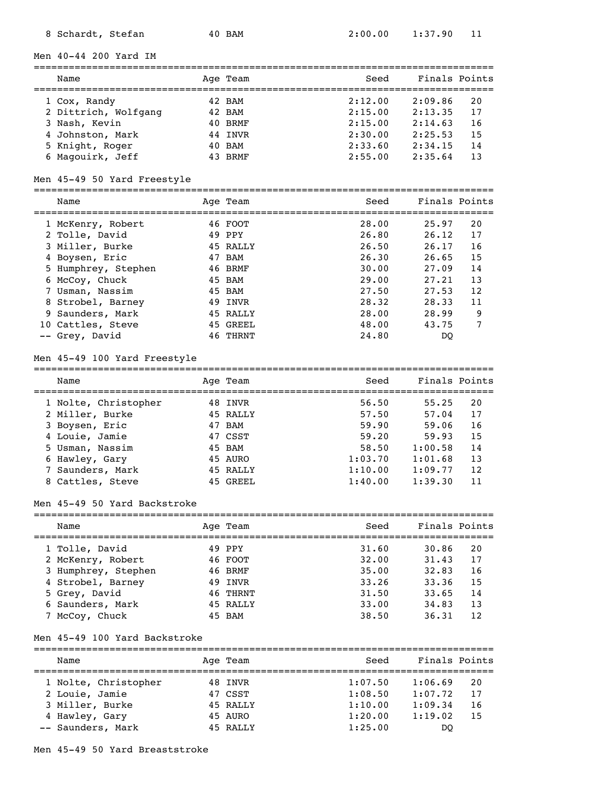#### Men 40-44 200 Yard IM

=============================================================================== Name Team Age Team Seed Finals Points =============================================================================== 1 Cox, Randy 42 BAM 2:12.00 2:09.86 20 2 Dittrich, Wolfgang 42 BAM 2:15.00 2:13.35 17 3 Nash, Kevin 40 BRMF 2:15.00 2:14.63 16<br>
4 Johnston, Mark 44 INVR 2:30.00 2:25.53 15<br>
5 Knight, Roger 40 BAM 2:33.60 2:34.15 14<br>
6 Maqouirk, Jeff 43 BRMF 2:55.00 2:35.64 13 4 Johnston, Mark 44 INVR 2:30.00 2:25.53 15  $2:33.60$   $2:34.15$  14<br> $2:55.00$   $2:35.64$  13 6 Magouirk, Jeff 43 BRMF 2:55.00 2:35.64 13

### Men 45-49 50 Yard Freestyle

| Name                | Age Team | Seed  | Finals Points |    |
|---------------------|----------|-------|---------------|----|
| 1 McKenry, Robert   | 46 FOOT  | 28.00 | 25.97         | 20 |
| 2 Tolle, David      | 49 PPY   | 26.80 | 26.12         | 17 |
| 3 Miller, Burke     | 45 RALLY | 26.50 | 26.17         | 16 |
| 4 Boysen, Eric      | 47 BAM   | 26.30 | 26.65         | 15 |
| 5 Humphrey, Stephen | 46 BRMF  | 30.00 | 27.09         | 14 |
| 6 McCoy, Chuck      | 45 BAM   | 29.00 | 27.21         | 13 |
| 7 Usman, Nassim     | 45 BAM   | 27.50 | 27.53         | 12 |
| 8 Strobel, Barney   | 49 INVR  | 28.32 | 28.33         | 11 |
| 9 Saunders, Mark    | 45 RALLY | 28.00 | 28.99         | 9  |
| 10 Cattles, Steve   | 45 GREEL | 48.00 | 43.75         | 7  |
| -- Grey, David      | 46 THRNT | 24.80 | DO            |    |

===============================================================================

#### Men 45-49 100 Yard Freestyle

| Name                 | Age Team | Seed    | Finals Points |
|----------------------|----------|---------|---------------|
| 1 Nolte, Christopher | 48 INVR  | 56.50   | 55.25<br>20   |
| 2 Miller, Burke      | 45 RALLY | 57.50   | 17<br>57.04   |
| 3 Boysen, Eric       | 47 BAM   | 59.90   | 59.06<br>16   |
| 4 Louie, Jamie       | 47 CSST  | 59.20   | 15<br>59.93   |
| 5 Usman, Nassim      | 45 BAM   | 58.50   | 1:00.58<br>14 |
| 6 Hawley, Gary       | 45 AURO  | 1:03.70 | 13<br>1:01.68 |
| 7 Saunders, Mark     | 45 RALLY | 1:10.00 | 1:09.77<br>12 |
| 8 Cattles, Steve     | 45 GREEL | 1:40.00 | 1:39.30<br>11 |

#### Men 45-49 50 Yard Backstroke

| Name                | Age Team | Seed  | Finals Points |    |
|---------------------|----------|-------|---------------|----|
| 1 Tolle, David      | 49 PPY   | 31.60 | 30.86         | 20 |
| 2 McKenry, Robert   | 46 FOOT  | 32.00 | 31.43         | 17 |
| 3 Humphrey, Stephen | 46 BRMF  | 35.00 | 32.83         | 16 |
| 4 Strobel, Barney   | 49 INVR  | 33.26 | 33.36         | 15 |
| 5 Grey, David       | 46 THRNT | 31.50 | 33.65         | 14 |
| 6 Saunders, Mark    | 45 RALLY | 33.00 | 34.83         | 13 |
| 7 McCoy, Chuck      | 45 BAM   | 38.50 | 36.31         | 12 |

### Men 45-49 100 Yard Backstroke

| Name                 | Age Team | Seed    | Finals Points |
|----------------------|----------|---------|---------------|
| 1 Nolte, Christopher | 48 INVR  | 1:07.50 | 1:06.69<br>20 |
| 2 Louie, Jamie       | 47 CSST  | 1:08.50 | 17<br>1:07.72 |
| 3 Miller, Burke      | 45 RALLY | 1:10.00 | 1:09.34<br>16 |
| 4 Hawley, Gary       | 45 AURO  | 1:20.00 | 1:19.02<br>15 |
| -- Saunders, Mark    | 45 RALLY | 1:25.00 | DO            |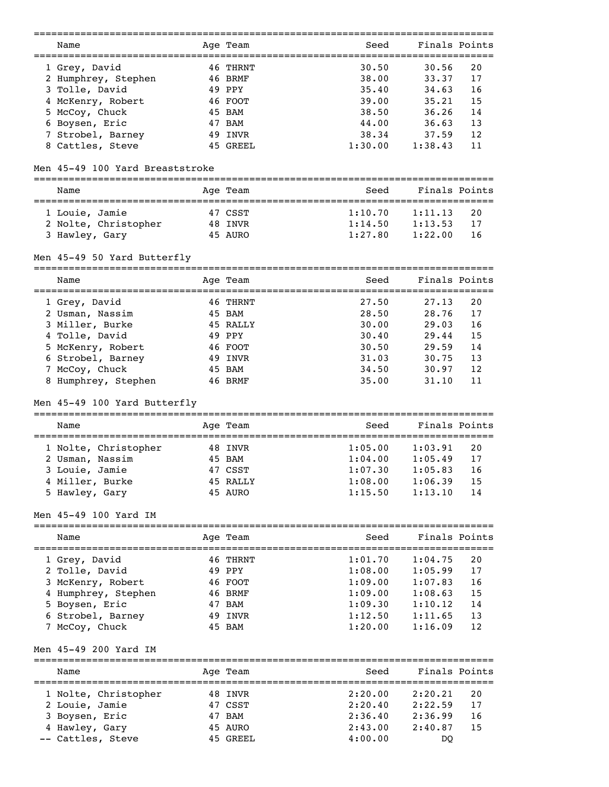|                                                                | :======================= |            | ------------------------------------    |         |               |
|----------------------------------------------------------------|--------------------------|------------|-----------------------------------------|---------|---------------|
| Name                                                           |                          | Age Team   | Seed                                    |         | Finals Points |
| ==============================                                 |                          |            | ==================                      |         |               |
| 1 Grey, David                                                  |                          | 46 THRNT   | 30.50                                   | 30.56   | 20            |
| 2 Humphrey, Stephen                                            |                          | 46 BRMF    | 38.00                                   | 33.37   | 17            |
| 3 Tolle, David                                                 |                          | 49 PPY     | 35.40                                   | 34.63   | 16            |
|                                                                |                          |            | 39.00                                   |         | 15            |
| 4 McKenry, Robert                                              |                          | 46 FOOT    |                                         | 35.21   |               |
| 5 McCoy, Chuck                                                 |                          | 45 BAM     | 38.50                                   | 36.26   | 14            |
| 6 Boysen, Eric                                                 |                          | 47 BAM     | 44.00                                   | 36.63   | 13            |
| 7 Strobel, Barney                                              |                          | 49 INVR    | 38.34                                   | 37.59   | 12            |
| 8 Cattles, Steve                                               |                          | 45 GREEL   | 1:30.00                                 | 1:38.43 | 11            |
|                                                                |                          |            |                                         |         |               |
| Men 45-49 100 Yard Breaststroke                                |                          |            |                                         |         |               |
| Name                                                           |                          | Age Team   | Seed                                    |         | Finals Points |
|                                                                |                          |            |                                         |         |               |
| 1 Louie, Jamie                                                 |                          | 47 CSST    | 1:10.70                                 | 1:11.13 | 20            |
| 2 Nolte, Christopher                                           |                          | 48 INVR    | 1:14.50                                 | 1:13.53 | 17            |
| 3 Hawley, Gary                                                 |                          | 45 AURO    | 1:27.80                                 | 1:22.00 | 16            |
|                                                                |                          |            |                                         |         |               |
| Men 45-49 50 Yard Butterfly<br>_______________________________ |                          | ========== |                                         |         |               |
| Name                                                           |                          | Age Team   | Seed                                    |         | Finals Points |
| ----------------                                               | ==========               |            | ==============================<br>27.50 |         | 20            |
| 1 Grey, David                                                  |                          | 46 THRNT   |                                         | 27.13   |               |
| 2 Usman, Nassim                                                |                          | 45 BAM     | 28.50                                   | 28.76   | 17            |
| 3 Miller, Burke                                                |                          | 45 RALLY   | 30.00                                   | 29.03   | 16            |
| 4 Tolle, David                                                 |                          | 49 PPY     | 30.40                                   | 29.44   | 15            |
| 5 McKenry, Robert                                              |                          | 46 FOOT    | 30.50                                   | 29.59   | 14            |
| 6 Strobel, Barney                                              |                          | 49 INVR    | 31.03                                   | 30.75   | 13            |
| 7 McCoy, Chuck                                                 |                          | 45 BAM     | 34.50                                   | 30.97   | 12            |
| 8 Humphrey, Stephen                                            |                          | 46 BRMF    | 35.00                                   | 31.10   | 11            |
|                                                                |                          |            |                                         |         |               |
| Men 45-49 100 Yard Butterfly                                   |                          |            |                                         |         |               |
| Name                                                           |                          | Age Team   | Seed                                    |         | Finals Points |
|                                                                |                          |            |                                         |         |               |
| 1 Nolte, Christopher                                           |                          | 48 INVR    | 1:05.00                                 | 1:03.91 | 20            |
| 2 Usman, Nassim                                                |                          | 45 BAM     | 1:04.00                                 | 1:05.49 | 17            |
| 3 Louie, Jamie                                                 |                          | 47 CSST    | 1:07.30                                 | 1:05.83 | 16            |
| 4 Miller, Burke                                                |                          | 45 RALLY   | 1:08.00                                 | 1:06.39 | 15            |
| 5 Hawley, Gary                                                 |                          | 45 AURO    | 1:15.50                                 | 1:13.10 | 14            |
| Men 45-49 100 Yard IM                                          |                          |            |                                         |         |               |
| Name                                                           |                          | Age Team   | Seed                                    |         | Finals Points |
|                                                                |                          |            |                                         |         |               |
| 1 Grey, David                                                  |                          | 46 THRNT   | 1:01.70                                 | 1:04.75 | 20            |
| 2 Tolle, David                                                 |                          | 49 PPY     | 1:08.00                                 | 1:05.99 | 17            |
| 3 McKenry, Robert                                              |                          | 46 FOOT    | 1:09.00                                 | 1:07.83 | 16            |
| 4 Humphrey, Stephen                                            |                          | 46 BRMF    | 1:09.00                                 | 1:08.63 | 15            |
| 5 Boysen, Eric                                                 |                          | 47 BAM     | 1:09.30                                 | 1:10.12 | 14            |
| 6 Strobel, Barney                                              |                          | 49 INVR    | 1:12.50                                 | 1:11.65 | 13            |
| 7 McCoy, Chuck                                                 |                          | 45 BAM     | 1:20.00                                 | 1:16.09 | 12            |
| Men 45-49 200 Yard IM<br>==============================        |                          |            |                                         |         |               |
| Name                                                           |                          | Age Team   | Seed                                    |         | Finals Points |
|                                                                |                          |            |                                         |         |               |
| 1 Nolte, Christopher                                           |                          | 48 INVR    | 2:20.00                                 | 2:20.21 | 20            |
| 2 Louie, Jamie                                                 |                          | 47 CSST    | 2:20.40                                 | 2:22.59 | 17            |
| 3 Boysen, Eric                                                 |                          | 47 BAM     | 2:36.40                                 | 2:36.99 | 16            |
| 4 Hawley, Gary                                                 |                          | 45 AURO    | 2:43.00                                 | 2:40.87 | 15            |
| -- Cattles, Steve                                              |                          | 45 GREEL   | 4:00.00                                 | DQ      |               |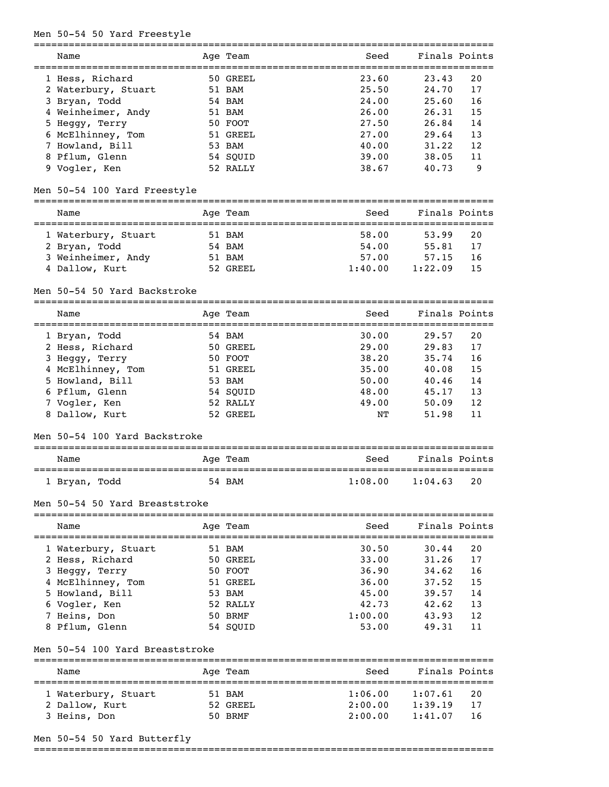### Men 50-54 50 Yard Freestyle

| Name                | Age Team | Seed  | Finals Points |    |
|---------------------|----------|-------|---------------|----|
| 1 Hess, Richard     | 50 GREEL | 23.60 | 23.43         | 20 |
| 2 Waterbury, Stuart | 51 BAM   | 25.50 | 24.70         | 17 |
| 3 Bryan, Todd       | 54 BAM   | 24.00 | 25.60         | 16 |
| 4 Weinheimer, Andy  | 51 BAM   | 26.00 | 26.31         | 15 |
| 5 Heggy, Terry      | 50 FOOT  | 27.50 | 26.84         | 14 |
| 6 McElhinney, Tom   | 51 GREEL | 27.00 | 29.64         | 13 |
| 7 Howland, Bill     | 53 BAM   | 40.00 | 31.22         | 12 |
| 8 Pflum, Glenn      | 54 SOUID | 39.00 | 38.05         | 11 |
| 9 Vogler, Ken       | 52 RALLY | 38.67 | 40.73         | 9  |

===============================================================================

### Men 50-54 100 Yard Freestyle

## =============================================================================== Name and Age Team Seed Finals Points =============================================================================== 1 Waterbury, Stuart 51 BAM

| 2 Bryan, Todd      | 54 BAM   | 54.00   | 55.81        |      |
|--------------------|----------|---------|--------------|------|
| 3 Weinheimer, Andy | 51 BAM   | 57.00   | 57.15        | - 16 |
| 4 Dallow, Kurt     | 52 GREEL | 1:40.00 | $1:22.09$ 15 |      |

### Men 50-54 50 Yard Backstroke

| Name              | Age Team | Seed  | Finals Points |
|-------------------|----------|-------|---------------|
| 1 Bryan, Todd     | 54 BAM   | 30.00 | 29.57<br>20   |
| 2 Hess, Richard   | 50 GREEL | 29.00 | 17<br>29.83   |
| 3 Heggy, Terry    | 50 FOOT  | 38.20 | 16<br>35.74   |
| 4 McElhinney, Tom | 51 GREEL | 35.00 | 15<br>40.08   |
| 5 Howland, Bill   | 53 BAM   | 50.00 | 40.46<br>14   |
| 6 Pflum, Glenn    | 54 SOUID | 48.00 | 13<br>45.17   |

### Men 50-54 100 Yard Backstroke

| Name          | Age Team | Seed    | Finals Points   |
|---------------|----------|---------|-----------------|
| l Bryan, Todd | 54 BAM   | 1:08.00 | - 20<br>1:04.63 |

===============================================================================

 7 Vogler, Ken 52 RALLY 49.00 50.09 12 8 Dallow, Kurt 52 GREEL NT 51.98 11

#### Men 50-54 50 Yard Breaststroke

| Name                | Age Team | Seed    | Finals Points |     |
|---------------------|----------|---------|---------------|-----|
| 1 Waterbury, Stuart | 51 BAM   | 30.50   | 30.44         | 20  |
| 2 Hess, Richard     | 50 GREEL | 33.00   | 31.26         | 17  |
| 3 Heggy, Terry      | 50 FOOT  | 36.90   | 34.62         | 16  |
| 4 McElhinney, Tom   | 51 GREEL | 36.00   | 37.52         | 15  |
| 5 Howland, Bill     | 53 BAM   | 45.00   | 39.57         | 14  |
| 6 Vogler, Ken       | 52 RALLY | 42.73   | 42.62         | 13  |
| 7 Heins, Don        | 50 BRMF  | 1:00.00 | 43.93         | 12. |
| 8 Pflum, Glenn      | 54 SOUID | 53.00   | 49.31         | 11  |

## Men 50-54 100 Yard Breaststroke

| Name                           | Age Team            | Seed               | Finals Points      |          |
|--------------------------------|---------------------|--------------------|--------------------|----------|
| 1 Waterbury, Stuart            | 51 BAM              | 1:06.00            | 1:07.61            | -20      |
| 2 Dallow, Kurt<br>3 Heins, Don | 52 GREEL<br>50 BRMF | 2:00.00<br>2:00.00 | 1:39.19<br>1:41.07 | 17<br>16 |

## Men 50-54 50 Yard Butterfly

===============================================================================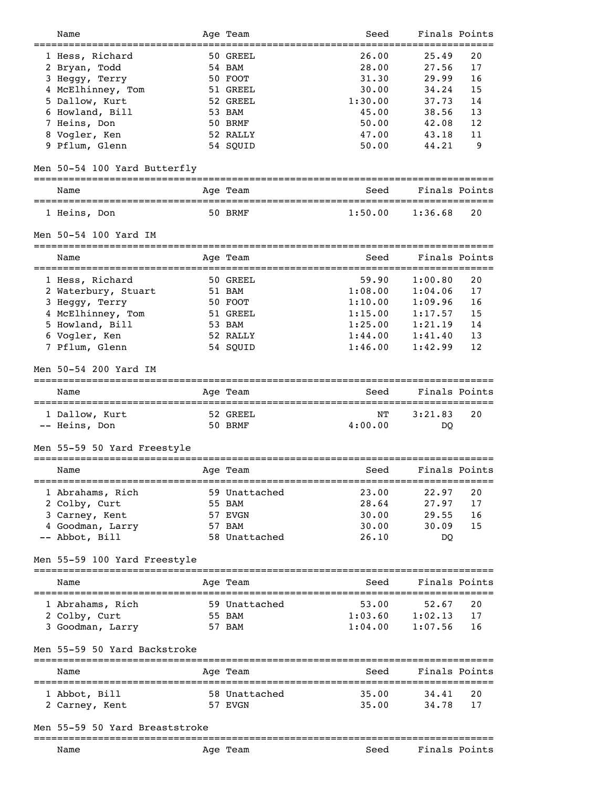| Name                                                                  | Age Team      | Seed             | Finals Points |                      |
|-----------------------------------------------------------------------|---------------|------------------|---------------|----------------------|
| 1 Hess, Richard                                                       | 50 GREEL      | 26.00            | 25.49         | 20                   |
|                                                                       | 54 BAM        | 28.00            | 27.56         | 17                   |
| 2 Bryan, Todd                                                         |               |                  |               |                      |
| 3 Heggy, Terry                                                        | 50 FOOT       | 31.30            | 29.99         | 16                   |
| 4 McElhinney, Tom                                                     | 51 GREEL      | 30.00            | 34.24         | 15                   |
| 5 Dallow, Kurt                                                        | 52 GREEL      | 1:30.00          | 37.73         | 14                   |
| 6 Howland, Bill                                                       | 53 BAM        | 45.00            | 38.56         | 13                   |
| 7 Heins, Don                                                          | 50 BRMF       | 50.00            | 42.08         | 12                   |
| 8 Vogler, Ken                                                         | 52 RALLY      | 47.00            | 43.18         | 11                   |
| 9 Pflum, Glenn                                                        | 54 SQUID      | 50.00            | 44.21         | 9                    |
|                                                                       |               |                  |               |                      |
| Men 50-54 100 Yard Butterfly                                          |               | ---------------- |               |                      |
| Name                                                                  | Age Team      | Seed             | Finals Points |                      |
| 1 Heins, Don                                                          | 50 BRMF       | 1:50.00          | 1:36.68       | 20                   |
| Men 50-54 100 Yard IM                                                 |               |                  |               |                      |
| Name                                                                  | Age Team      | Seed             | Finals Points |                      |
| ---------------                                                       | 50 GREEL      | 59.90            | 1:00.80       | --------------<br>20 |
| 1 Hess, Richard                                                       |               |                  |               |                      |
| 2 Waterbury, Stuart                                                   | 51 BAM        | 1:08.00          | 1:04.06       | 17                   |
| 3 Heggy, Terry                                                        | 50 FOOT       | 1:10.00          | 1:09.96       | 16                   |
| 4 McElhinney, Tom                                                     | 51 GREEL      | 1:15.00          | 1:17.57       | 15                   |
| 5 Howland, Bill                                                       | 53 BAM        | 1:25.00          | 1:21.19       | 14                   |
| 6 Vogler, Ken                                                         | 52 RALLY      | 1:44.00          | 1:41.40       | 13                   |
| 7 Pflum, Glenn                                                        | 54 SQUID      | 1:46.00          | 1:42.99       | 12                   |
|                                                                       |               |                  |               |                      |
| Men 50-54 200 Yard IM                                                 |               |                  |               |                      |
| Name                                                                  | Age Team      | Seed             | Finals Points |                      |
| 1 Dallow, Kurt                                                        | 52 GREEL      | NΤ               | 3:21.83       | 20                   |
| -- Heins, Don                                                         | 50 BRMF       | 4:00.00          | DO            |                      |
|                                                                       |               |                  |               |                      |
| Men 55-59 50 Yard Freestyle                                           |               |                  |               |                      |
| Name                                                                  | Age Team      | Seed             | Finals Points |                      |
| 1 Abrahams, Rich                                                      | 59 Unattached | 23.00            | 22.97         | =======<br>20        |
| 2 Colby, Curt                                                         | 55 BAM        | 28.64            | 27.97         | 17                   |
|                                                                       |               |                  |               |                      |
| 3 Carney, Kent                                                        | 57 EVGN       | 30.00            | 29.55         | 16                   |
| 4 Goodman, Larry                                                      | 57 BAM        | 30.00            | 30.09         | 15                   |
| -- Abbot, Bill                                                        | 58 Unattached | 26.10            | DQ            |                      |
| Men 55-59 100 Yard Freestyle                                          |               |                  |               |                      |
| Name                                                                  | Age Team      | Seed             | Finals Points |                      |
| 1 Abrahams, Rich                                                      | 59 Unattached | 53.00            | 52.67         | -----------<br>20    |
|                                                                       |               |                  |               |                      |
| 2 Colby, Curt                                                         | 55 BAM        | 1:03.60          | 1:02.13       | 17                   |
| 3 Goodman, Larry                                                      | 57 BAM        | 1:04.00          | 1:07.56       | 16                   |
| Men 55-59 50 Yard Backstroke<br>===================================== |               |                  |               |                      |
| Name                                                                  | Age Team      | Seed             | Finals Points |                      |
|                                                                       |               |                  |               | 20                   |
| 1 Abbot, Bill                                                         | 58 Unattached | 35.00            | 34.41         |                      |
| 2 Carney, Kent                                                        | 57 EVGN       | 35.00            | 34.78         | 17                   |
| Men 55-59 50 Yard Breaststroke                                        |               |                  |               |                      |
|                                                                       |               |                  |               |                      |
| Name                                                                  | Age Team      | Seed             | Finals Points |                      |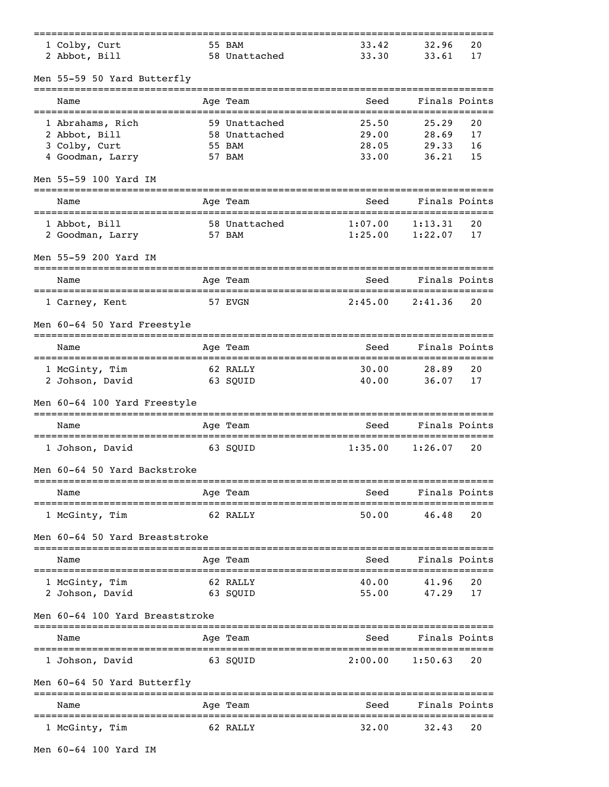| 1 Colby, Curt                   | 55 BAM        | 33.42   | 32.96                       | 20 |
|---------------------------------|---------------|---------|-----------------------------|----|
| 2 Abbot, Bill                   | 58 Unattached | 33.30   | 33.61                       | 17 |
| Men 55-59 50 Yard Butterfly     |               |         |                             |    |
| Name                            | Age Team      | Seed    | Finals Points               |    |
| 1 Abrahams, Rich                | 59 Unattached | 25.50   | 25.29                       | 20 |
| 2 Abbot, Bill                   | 58 Unattached | 29.00   | 28.69                       | 17 |
| 3 Colby, Curt                   | 55 BAM        | 28.05   | 29.33                       | 16 |
| 4 Goodman, Larry                | 57 BAM        | 33.00   | 36.21                       | 15 |
| Men 55-59 100 Yard IM           |               |         |                             |    |
| Name                            | Age Team      | Seed    | Finals Points<br>---------- |    |
| 1 Abbot, Bill                   | 58 Unattached | 1:07.00 | 1:13.31                     | 20 |
| 2 Goodman, Larry                | 57 BAM        | 1:25.00 | 1:22.07                     | 17 |
| Men 55-59 200 Yard IM           |               |         |                             |    |
| Name                            | Age Team      | Seed    | Finals Points               |    |
| 1 Carney, Kent                  | 57 EVGN       | 2:45.00 | 2:41.36                     | 20 |
| Men 60-64 50 Yard Freestyle     |               |         |                             |    |
| Name                            | Age Team      | Seed    | Finals Points               |    |
| 1 McGinty, Tim                  | 62 RALLY      | 30.00   | 28.89                       | 20 |
| 2 Johson, David                 | 63 SQUID      | 40.00   | 36.07                       | 17 |
| Men 60-64 100 Yard Freestyle    |               |         |                             |    |
| Name                            | Age Team      | Seed    | Finals Points               |    |
| 1 Johson, David                 | 63 SOUID      | 1:35.00 | 1:26.07                     | 20 |
| Men 60-64 50 Yard Backstroke    |               |         |                             |    |
| Name                            | Age Team      | Seed    | Finals Points               |    |
| 1 McGinty, Tim                  | 62 RALLY      | 50.00   | 46.48                       | 20 |
| Men 60-64 50 Yard Breaststroke  |               |         |                             |    |
| Name                            | Age Team      | Seed    | Finals Points               |    |
| 1 McGinty, Tim                  | 62 RALLY      | 40.00   | 41.96                       | 20 |
| 2 Johson, David                 | 63 SQUID      | 55.00   | 47.29                       | 17 |
| Men 60-64 100 Yard Breaststroke |               |         |                             |    |
| Name                            | Age Team      | Seed    | Finals Points               |    |
|                                 |               |         |                             |    |
| 1 Johson, David                 | 63 SQUID      | 2:00.00 | 1:50.63                     | 20 |
| Men 60-64 50 Yard Butterfly     | -------       |         |                             |    |
| Name                            | Age Team      | Seed    | Finals Points               |    |
| 1 McGinty, Tim                  | 62 RALLY      | 32.00   | 32.43                       | 20 |
|                                 |               |         |                             |    |